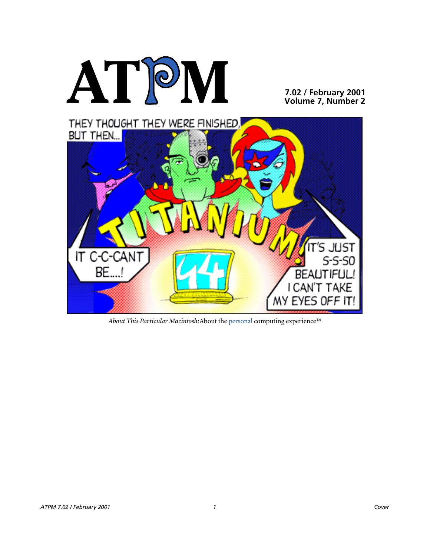

**7.02 / February 2001 Volume 7, Number 2**



*About This Particular Macintosh*:About the personal computing experience™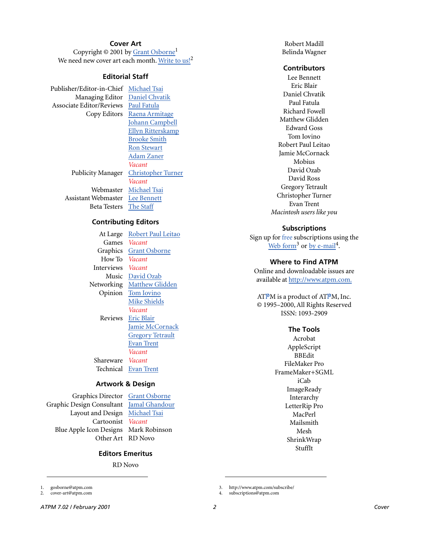# **Cover Art**

Copyright  $\odot$  2001 by Grant Osborne<sup>1</sup> We need new cover art each month. [Write to us!](mailto:cover-art@atpm.com)<sup>2</sup>

## **Editorial Staff**

Publisher/Editor-in-Chief [Michael Tsai](mailto:mtsai@atpm.com) Managing Editor [Daniel Chvatik](mailto:dchvatik@atpm.com) Associate Editor/Reviews [Paul Fatula](mailto:pfatula@atpm.com)

Copy Editors [Raena Armitage](mailto:rarmitage@atpm.com) [Johann Campbell](mailto:jcampbell@atpm.com) [Ellyn Ritterskamp](mailto:eritterskamp@atpm.com) [Brooke Smith](mailto:bsmith@atpm.com) [Ron Stewart](mailto:rstewart@atpm.com) [Adam Zaner](mailto:azaner@atpm.com) *Vacant* Publicity Manager [Christopher Turner](mailto:cturner@atpm.com) *Vacant* Webmaster [Michael Tsai](mailto:mtsai@atpm.com) Assistant Webmaster [Lee Bennett](mailto:lbennett@atpm.com) Beta Testers [The Staff](mailto:editor@atpm.com)

**Contributing Editors**

At Large Robert Paul Leitao Games *Vacant* Graphics [Grant Osborne](mailto:gosborne@atpm.com) How To *Vacant* Interviews *Vacant* Music [David Ozab](mailto:dozab@atpm.com) Networking [Matthew Glidden](mailto:mglidden@atpm.com) Opinion [Tom Iovino](mailto:tiovino@atpm.com) [Mike Shields](mailto:mshields@atpm.com) *Vacant* Reviews [Eric Blair](mailto:eblair@atpm.com) [Jamie McCornack](mailto:jmccornack@atpm.com) **[Gregory Tetrault](mailto:gtetrault@atpm.com)** [Evan Trent](mailto:etrent@atpm.com) *Vacant* Shareware *Vacant* Technical [Evan Trent](mailto:etrent@atpm.com)

#### **Artwork & Design**

Graphics Director [Grant Osborne](mailto:gosborne@atpm.com) Graphic Design Consultant [Jamal Ghandour](mailto:jghandour@atpm.com) Layout and Design [Michael Tsai](mailto:mtsai@atpm.com) Cartoonist *Vacant* Blue Apple Icon Designs Mark Robinson Other Art RD Novo

#### **Editors Emeritus**

RD Novo

1. gosborne@atpm.com

2. cover-art@atpm.com

Robert Madill Belinda Wagner

#### **Contributors**

Lee Bennett Eric Blair Daniel Chvatik Paul Fatula Richard Fowell Matthew Glidden Edward Goss Tom Iovino Robert Paul Leitao Jamie McCornack Mobius David Ozab David Ross Gregory Tetrault Christopher Turner Evan Trent *Macintosh users like you*

#### **Subscriptions**

Sign up for free subscriptions using the [Web form](http://www.atpm.com/subscribe/)<sup>3</sup> or [by e-mail](mailto:subscriptions@atpm.com)<sup>4</sup>.

#### **Where to Find ATPM**

Online and downloadable issues are available at [http://www.atpm.com.](http://www.atpm.com)

ATPM is a product of ATPM, Inc. © 1995–2000, All Rights Reserved ISSN: 1093-2909

#### **The Tools**

Acrobat AppleScript BBEdit FileMaker Pro FrameMaker+SGML iCab **ImageReady** Interarchy LetterRip Pro MacPerl Mailsmith Mesh ShrinkWrap StuffIt

3. http://www.atpm.com/subscribe/

4. subscriptions@atpm.com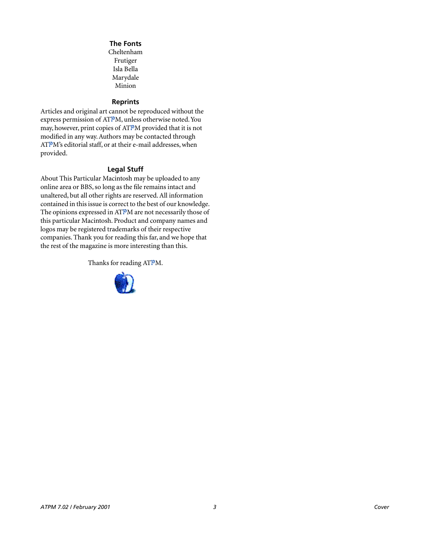#### **The Fonts**

Cheltenham Frutiger Isla Bella Marydale Minion

#### **Reprints**

Articles and original art cannot be reproduced without the express permission of ATPM, unless otherwise noted. You may, however, print copies of ATPM provided that it is not modified in any way. Authors may be contacted through ATPM's editorial staff, or at their e-mail addresses, when provided.

# **Legal Stuff**

About This Particular Macintosh may be uploaded to any online area or BBS, so long as the file remains intact and unaltered, but all other rights are reserved. All information contained in this issue is correct to the best of our knowledge. The opinions expressed in ATPM are not necessarily those of this particular Macintosh. Product and company names and logos may be registered trademarks of their respective companies. Thank you for reading this far, and we hope that the rest of the magazine is more interesting than this.

Thanks for reading ATPM.

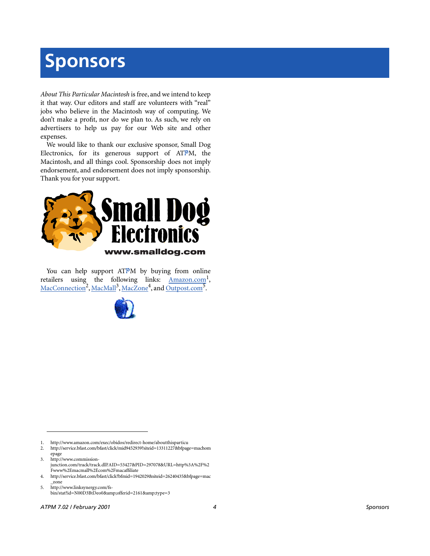# **Sponsors**

*About This Particular Macintosh* is free, and we intend to keep it that way. Our editors and staff are volunteers with "real" jobs who believe in the Macintosh way of computing. We don't make a profit, nor do we plan to. As such, we rely on advertisers to help us pay for our Web site and other expenses.

We would like to thank our exclusive sponsor, Small Dog Electronics, for its generous support of ATPM, the Macintosh, and all things cool. Sponsorship does not imply endorsement, and endorsement does not imply sponsorship. Thank you for your support.



You can help support ATPM by buying from online retailers using the following links: Amazon.com<sup>1</sup>, [MacConnection](http://service.bfast.com/bfast/click/mid9452939?siteid=13311227&bfpage=machomepage)<sup>2</sup>, [MacMall](http://www.commission-junction.com/track/track.dll?AID=53427&PID=297078&URL=http%3A%2F%2Fwww%2Emacmall%2Ecom%2Fmacaffiliate)<sup>3</sup>, [MacZone](http://service.bfast.com/bfast/click?bfmid=1942029&siteid=26240435&bfpage=mac_zone)<sup>4</sup>, and Outpost.com<sup>5</sup>.



1. http://www.amazon.com/exec/obidos/redirect-home/aboutthisparticu

2. http://service.bfast.com/bfast/click/mid9452939?siteid=13311227&bfpage=machom epage

3. http://www.commissionjunction.com/track/track.dll?AID=53427&PID=297078&URL=http%3A%2F%2 Fwww%2Emacmall%2Ecom%2Fmacaffiliate

4. http://service.bfast.com/bfast/click?bfmid=1942029&siteid=26240435&bfpage=mac \_zone

5. http://www.linksynergy.com/fsbin/stat?id=N00D3BtDeo0&offerid=2161&type=3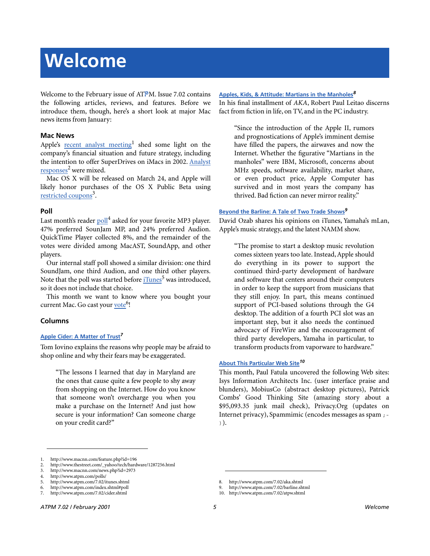# **Welcome**

Welcome to the February issue of ATPM. Issue 7.02 contains the following articles, reviews, and features. Before we introduce them, though, here's a short look at major Mac news items from January:

#### **Mac News**

Apple's [recent analyst meeting](http://www.macnn.com/feature.php?id=196)<sup>1</sup> shed some light on the company's financial situation and future strategy, including the intention to offer SuperDrives on iMacs in 2002. [Analyst](http://www.thestreet.com/_yahoo/tech/hardware/1287256.html) [responses](http://www.thestreet.com/_yahoo/tech/hardware/1287256.html)<sup>2</sup> were mixed.

Mac OS X will be released on March 24, and Apple will likely honor purchases of the OS X Public Beta using [restricted coupons](http://www.macnn.com/news.php?id=2973)<sup>3</sup>.

### **Poll**

Last month's reader [poll](http://www.atpm.com/polls/)<sup>4</sup> asked for your favorite MP3 player. 47% preferred SounJam MP, and 24% preferred Audion. QuickTime Player collected 8%, and the remainder of the votes were divided among MacAST, SoundApp, and other players.

Our internal staff poll showed a similar division: one third SoundJam, one third Audion, and one third other players. Note that the poll was started before [iTunes](http://www.atpm.com/7.02/itunes.shtml)<sup>5</sup> was introduced, so it does not include that choice.

This month we want to know where you bought your current Mac. Go cast your <u>[vote](http://www.atpm.com/index.shtml#poll)</u><sup>6</sup>!

# **Columns**

#### **[Apple Cider: A Matter of Trust](http://www.atpm.com/7.02/cider.shtml)***<sup>7</sup>*

Tom Iovino explains the reasons why people may be afraid to shop online and why their fears may be exaggerated.

"The lessons I learned that day in Maryland are the ones that cause quite a few people to shy away from shopping on the Internet. How do you know that someone won't overcharge you when you make a purchase on the Internet? And just how secure is your information? Can someone charge on your credit card?"

#### **[Apples, Kids, & Attitude: Martians in the Manholes](http://www.atpm.com/7.02/aka.shtml)***<sup>8</sup>*

In his final installment of *AKA*, Robert Paul Leitao discerns fact from fiction in life, on TV, and in the PC industry.

"Since the introduction of the Apple II, rumors and prognostications of Apple's imminent demise have filled the papers, the airwaves and now the Internet. Whether the figurative "Martians in the manholes" were IBM, Microsoft, concerns about MHz speeds, software availability, market share, or even product price, Apple Computer has survived and in most years the company has thrived. Bad fiction can never mirror reality."

#### **[Beyond the Barline: A Tale of Two Trade Shows](http://www.atpm.com/7.02/barline.shtml)***<sup>9</sup>*

David Ozab shares his opinions on iTunes, Yamaha's mLan, Apple's music strategy, and the latest NAMM show.

"The promise to start a desktop music revolution comes sixteen years too late. Instead, Apple should do everything in its power to support the continued third-party development of hardware and software that centers around their computers in order to keep the support from musicians that they still enjoy. In part, this means continued support of PCI-based solutions through the G4 desktop. The addition of a fourth PCI slot was an important step, but it also needs the continued advocacy of FireWire and the encouragement of third party developers, Yamaha in particular, to transform products from vaporware to hardware."

#### **[About This Particular Web Site](http://www.atpm.com/7.02/atpw.shtml)***<sup>10</sup>*

This month, Paul Fatula uncovered the following Web sites: Isys Information Architects Inc. (user interface praise and blunders), MobiusCo (abstract desktop pictures), Patrick Combs' Good Thinking Site (amazing story about a \$95,093.35 junk mail check), Privacy.Org (updates on Internet privacy), Spammimic (encodes messages as spam ;- )).

<sup>1.</sup> http://www.macnn.com/feature.php?id=196

<sup>2.</sup> http://www.thestreet.com/\_yahoo/tech/hardware/1287256.html

<sup>3.</sup> http://www.macnn.com/news.php?id=2973

<sup>4.</sup> http://www.atpm.com/polls/

<sup>5.</sup> http://www.atpm.com/7.02/itunes.shtml

<sup>6.</sup> http://www.atpm.com/index.shtml#poll

<sup>7.</sup> http://www.atpm.com/7.02/cider.shtml

<sup>8.</sup> http://www.atpm.com/7.02/aka.shtml

<sup>9.</sup> http://www.atpm.com/7.02/barline.shtml

<sup>10.</sup> http://www.atpm.com/7.02/atpw.shtml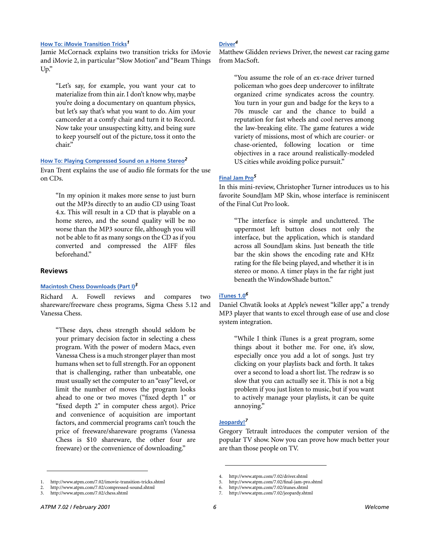#### **[How To: iMovie Transition Tricks](http://www.atpm.com/7.02/imovie-transition-tricks.shtml)***<sup>1</sup>*

Jamie McCornack explains two transition tricks for iMovie and iMovie 2, in particular "Slow Motion" and "Beam Things Up."

"Let's say, for example, you want your cat to materialize from thin air. I don't know why, maybe you're doing a documentary on quantum physics, but let's say that's what you want to do. Aim your camcorder at a comfy chair and turn it to Record. Now take your unsuspecting kitty, and being sure to keep yourself out of the picture, toss it onto the chair."

#### **[How To: Playing Compressed Sound on a Home Stereo](http://www.atpm.com/7.02/compressed-sound.shtml)***<sup>2</sup>*

Evan Trent explains the use of audio file formats for the use on CDs.

"In my opinion it makes more sense to just burn out the MP3s directly to an audio CD using Toast 4.x. This will result in a CD that is playable on a home stereo, and the sound quality will be no worse than the MP3 source file, although you will not be able to fit as many songs on the CD as if you converted and compressed the AIFF files beforehand."

#### **Reviews**

#### **[Macintosh Chess Downloads \(Part I\)](http://www.atpm.com/7.02/chess.shtml)***<sup>3</sup>*

Richard A. Fowell reviews and compares two shareware/freeware chess programs, Sigma Chess 5.12 and Vanessa Chess.

"These days, chess strength should seldom be your primary decision factor in selecting a chess program. With the power of modern Macs, even Vanessa Chess is a much stronger player than most humans when set to full strength. For an opponent that is challenging, rather than unbeatable, one must usually set the computer to an "easy" level, or limit the number of moves the program looks ahead to one or two moves ("fixed depth 1" or "fixed depth 2" in computer chess argot). Price and convenience of acquisition are important factors, and commercial programs can't touch the price of freeware/shareware programs (Vanessa Chess is \$10 shareware, the other four are freeware) or the convenience of downloading."

#### 1. http://www.atpm.com/7.02/imovie-transition-tricks.shtml

2. http://www.atpm.com/7.02/compressed-sound.shtml

#### **[Driver](http://www.atpm.com/7.02/driver.shtml)***<sup>4</sup>*

Matthew Glidden reviews Driver, the newest car racing game from MacSoft.

"You assume the role of an ex-race driver turned policeman who goes deep undercover to infiltrate organized crime syndicates across the country. You turn in your gun and badge for the keys to a 70s muscle car and the chance to build a reputation for fast wheels and cool nerves among the law-breaking elite. The game features a wide variety of missions, most of which are courier- or chase-oriented, following location or time objectives in a race around realistically-modeled US cities while avoiding police pursuit."

#### **[Final Jam Pro](http://www.atpm.com/7.02/final-jam-pro.shtml)***<sup>5</sup>*

In this mini-review, Christopher Turner introduces us to his favorite SoundJam MP Skin, whose interface is reminiscent of the Final Cut Pro look.

"The interface is simple and uncluttered. The uppermost left button closes not only the interface, but the application, which is standard across all SoundJam skins. Just beneath the title bar the skin shows the encoding rate and KHz rating for the file being played, and whether it is in stereo or mono. A timer plays in the far right just beneath the WindowShade button."

#### **[iTunes 1.0](http://www.atpm.com/7.02/itunes.shtml)***<sup>6</sup>*

Daniel Chvatik looks at Apple's newest "killer app," a trendy MP3 player that wants to excel through ease of use and close system integration.

"While I think iTunes is a great program, some things about it bother me. For one, it's slow, especially once you add a lot of songs. Just try clicking on your playlists back and forth. It takes over a second to load a short list. The redraw is so slow that you can actually see it. This is not a big problem if you just listen to music, but if you want to actively manage your playlists, it can be quite annoying."

#### **[Jeopardy!](http://www.atpm.com/7.02/jeopardy.shtml)***<sup>7</sup>*

Gregory Tetrault introduces the computer version of the popular TV show. Now you can prove how much better your are than those people on TV.

<sup>3.</sup> http://www.atpm.com/7.02/chess.shtml

<sup>4.</sup> http://www.atpm.com/7.02/driver.shtml

<sup>5.</sup> http://www.atpm.com/7.02/final-jam-pro.shtml

<sup>6.</sup> http://www.atpm.com/7.02/itunes.shtml

<sup>7.</sup> http://www.atpm.com/7.02/jeopardy.shtml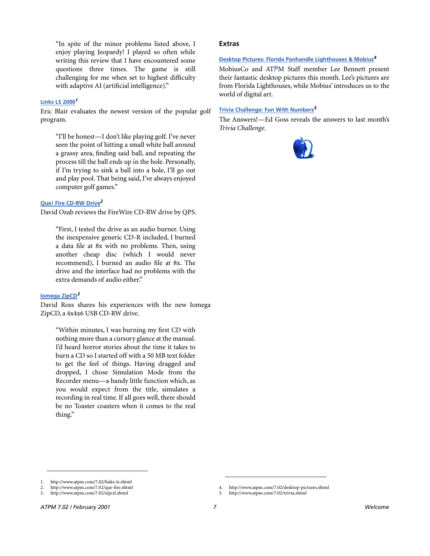"In spite of the minor problems listed above, I enjoy playing Jeopardy! I played so often while writing this review that I have encountered some questions three times. The game is still challenging for me when set to highest difficulty with adaptive AI (artificial intelligence)."

#### **[Links LS 2000](http://www.atpm.com/7.02/links-ls.shtml)***<sup>1</sup>*

Eric Blair evaluates the newest version of the popular golf program.

"I'll be honest—I don't like playing golf. I've never seen the point of hitting a small white ball around a grassy area, finding said ball, and repeating the process till the ball ends up in the hole. Personally, if I'm trying to sink a ball into a hole, I'll go out and play pool. That being said, I've always enjoyed computer golf games."

#### **[Que! Fire CD-RW Drive](http://www.atpm.com/7.02/que-fire.shtml)***<sup>2</sup>*

David Ozab reviews the FireWire CD-RW drive by QPS.

"First, I tested the drive as an audio burner. Using the inexpensive generic CD-R included, I burned a data file at 8x with no problems. Then, using another cheap disc (which I would never recommend), I burned an audio file at 8x. The drive and the interface had no problems with the extra demands of audio either."

#### **[Iomega ZipCD](http://www.atpm.com/7.02/zipcd.shtml)***<sup>3</sup>*

David Ross shares his experiences with the new Iomega ZipCD, a 4x4x6 USB CD-RW drive.

"Within minutes, I was burning my first CD with nothing more than a cursory glance at the manual. I'd heard horror stories about the time it takes to burn a CD so I started off with a 50 MB text folder to get the feel of things. Having dragged and dropped, I chose Simulation Mode from the Recorder menu—a handy little function which, as you would expect from the title, simulates a recording in real time. If all goes well, there should be no Toaster coasters when it comes to the real thing."

#### **Extras**

#### **[Desktop Pictures: Florida Panhandle Lighthouses & Mobius](http://www.atpm.com/7.02/desktop-pictures.shtml)***<sup>4</sup>*

MobiusCo and ATPM Staff member Lee Bennett present their fantastic desktop pictures this month. Lee's pictures are from Florida Lighthouses, while Mobius' introduces us to the world of digital art.

#### **[Trivia Challenge: Fun With Numbers](http://www.atpm.com/7.02/trivia.shtml)***<sup>5</sup>*

The Answers!—Ed Goss reveals the answers to last month's *Trivia Challenge*.



<sup>1.</sup> http://www.atpm.com/7.02/links-ls.shtml

<sup>2.</sup> http://www.atpm.com/7.02/que-fire.shtml

<sup>3.</sup> http://www.atpm.com/7.02/zipcd.shtml

<sup>4.</sup> http://www.atpm.com/7.02/desktop-pictures.shtml

<sup>5.</sup> http://www.atpm.com/7.02/trivia.shtml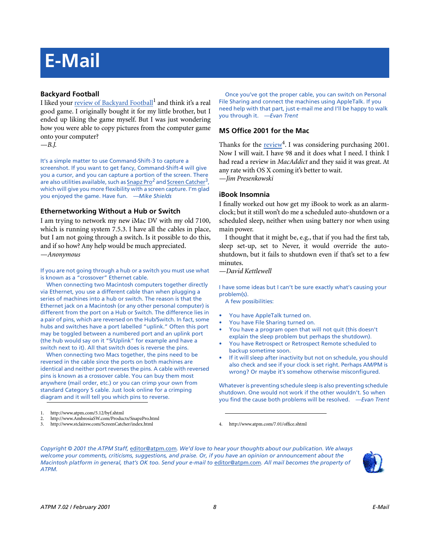# **E-Mail**

# **Backyard Football**

I liked your [review of Backyard Football](http://www.atpm.com/5.12/byf.shtml)<sup>1</sup> and think it's a real good game. I originally bought it for my little brother, but I ended up liking the game myself. But I was just wondering how you were able to copy pictures from the computer game onto your computer?

*—B.J.*

It's a simple matter to use Command-Shift-3 to capture a screenshot. If you want to get fancy, Command-Shift-4 will give you a cursor, and you can capture a portion of the screen. There are also utilities available, such as [Snapz Pro](http://www.AmbrosiaSW.com/Products/SnapzPro.html)<sup>2</sup> and Screen Catcher<sup>3</sup>, which will give you more flexibility with a screen capture. I'm glad you enjoyed the game. Have fun. *—Mike Shields*

# **Ethernetworking Without a Hub or Switch**

I am trying to network my new iMac DV with my old 7100, which is running system 7.5.3. I have all the cables in place, but I am not going through a switch. Is it possible to do this, and if so how? Any help would be much appreciated. *—Anonymous*

If you are not going through a hub or a switch you must use what is known as a "crossover" Ethernet cable.

When connecting two Macintosh computers together directly via Ethernet, you use a different cable than when plugging a series of machines into a hub or switch. The reason is that the Ethernet jack on a Macintosh (or any other personal computer) is different from the port on a Hub or Switch. The difference lies in a pair of pins, which are reversed on the Hub/Switch. In fact, some hubs and switches have a port labelled "uplink." Often this port may be toggled between a numbered port and an uplink port (the hub would say on it "5/Uplink" for example and have a switch next to it). All that switch does is reverse the pins.

When connecting two Macs together, the pins need to be reversed in the cable since the ports on both machines are identical and neither port reverses the pins. A cable with reversed pins is known as a crossover cable. You can buy them most anywhere (mail order, etc.) or you can crimp your own from standard Category 5 cable. Just look online for a crimping diagram and it will tell you which pins to reverse.

Once you've got the proper cable, you can switch on Personal File Sharing and connect the machines using AppleTalk. If you need help with that part, just e-mail me and I'll be happy to walk you through it. *—Evan Trent*

# **MS Office 2001 for the Mac**

Thanks for the **review**<sup>4</sup>. I was considering purchasing 2001. Now I will wait. I have 98 and it does what I need. I think I had read a review in *MacAddict* and they said it was great. At any rate with OS X coming it's better to wait.

*—Jim Presenkowski*

# **iBook Insomnia**

I finally worked out how get my iBook to work as an alarmclock; but it still won't do me a scheduled auto-shutdown or a scheduled sleep, neither when using battery nor when using main power.

I thought that it might be, e.g., that if you had the first tab, sleep set-up, set to Never, it would override the autoshutdown, but it fails to shutdown even if that's set to a few minutes.

*—David Kettlewell*

I have some ideas but I can't be sure exactly what's causing your problem(s).

A few possibilities:

- You have AppleTalk turned on.
- You have File Sharing turned on.
- You have a program open that will not quit (this doesn't explain the sleep problem but perhaps the shutdown).
- You have Retrospect or Retrospect Remote scheduled to backup sometime soon.
- If it will sleep after inactivity but not on schedule, you should also check and see if your clock is set right. Perhaps AM/PM is wrong? Or maybe it's somehow otherwise misconfigured.

Whatever is preventing schedule sleep is also preventing schedule shutdown. One would not work if the other wouldn't. So when you find the cause both problems will be resolved. *—Evan Trent*

3. http://www.stclairsw.com/ScreenCatcher/index.html 4. http://www.atpm.com/7.01/office.shtml

*Copyright © 2001 the ATPM Staff,* [editor@atpm.com](mailto:editor@atpm.com)*. We'd love to hear your thoughts about our publication. We always welcome your comments, criticisms, suggestions, and praise. Or, if you have an opinion or announcement about the Macintosh platform in general, that's OK too. Send your e-mail to* [editor@atpm.com](mailto:editor@atpm.com)*. All mail becomes the property of ATPM.*



<sup>1.</sup> http://www.atpm.com/5.12/byf.shtml

<sup>2.</sup> http://www.AmbrosiaSW.com/Products/SnapzPro.html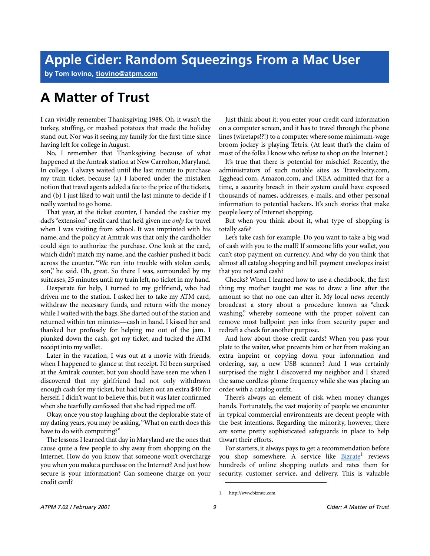**by Tom Iovino, [tiovino@atpm.com](mailto:tiovino@atpm.com)**

# **A Matter of Trust**

I can vividly remember Thanksgiving 1988. Oh, it wasn't the turkey, stuffing, or mashed potatoes that made the holiday stand out. Nor was it seeing my family for the first time since having left for college in August.

No, I remember that Thanksgiving because of what happened at the Amtrak station at New Carrolton, Maryland. In college, I always waited until the last minute to purchase my train ticket, because (a) I labored under the mistaken notion that travel agents added a fee to the price of the tickets, and (b) I just liked to wait until the last minute to decide if I really wanted to go home.

That year, at the ticket counter, I handed the cashier my dad's "extension" credit card that he'd given me *only* for travel when I was visiting from school. It was imprinted with his name, and the policy at Amtrak was that only the cardholder could sign to authorize the purchase. One look at the card, which didn't match my name, and the cashier pushed it back across the counter. "We run into trouble with stolen cards, son," he said. Oh, great. So there I was, surrounded by my suitcases, 25 minutes until my train left, no ticket in my hand.

Desperate for help, I turned to my girlfriend, who had driven me to the station. I asked her to take my ATM card, withdraw the necessary funds, and return with the money while I waited with the bags. She darted out of the station and returned within ten minutes—cash in hand. I kissed her and thanked her profusely for helping me out of the jam. I plunked down the cash, got my ticket, and tucked the ATM receipt into my wallet.

Later in the vacation, I was out at a movie with friends, when I happened to glance at that receipt. I'd been surprised at the Amtrak counter, but you should have seen me when I discovered that my girlfriend had not only withdrawn enough cash for my ticket, but had taken out an extra \$40 for herself. I didn't want to believe this, but it was later confirmed when she tearfully confessed that she had ripped me off.

Okay, once you stop laughing about the deplorable state of my dating years, you may be asking, "What on earth does this have to do with computing?"

The lessons I learned that day in Maryland are the ones that cause quite a few people to shy away from shopping on the Internet. How do you know that someone won't overcharge you when you make a purchase on the Internet? And just how secure is your information? Can someone charge on your credit card?

Just think about it: you enter your credit card information on a computer screen, and it has to travel through the phone lines (wiretaps!?!) to a computer where some minimum-wage broom jockey is playing Tetris. (At least that's the claim of most of the folks I know who refuse to shop on the Internet.)

It's true that there is potential for mischief. Recently, the administrators of such notable sites as Travelocity.com, Egghead.com, Amazon.com, and IKEA admitted that for a time, a security breach in their system could have exposed thousands of names, addresses, e-mails, and other personal information to potential hackers. It's such stories that make people leery of Internet shopping.

But when you think about it, what type of shopping is totally safe?

Let's take cash for example. Do you want to take a big wad of cash with you to the mall? If someone lifts your wallet, you can't stop payment on currency. And why do you think that almost all catalog shopping and bill payment envelopes insist that you not send cash?

Checks? When I learned how to use a checkbook, the first thing my mother taught me was to draw a line after the amount so that no one can alter it. My local news recently broadcast a story about a procedure known as "check washing," whereby someone with the proper solvent can remove most ballpoint pen inks from security paper and redraft a check for another purpose.

And how about those credit cards? When you pass your plate to the waiter, what prevents him or her from making an extra imprint or copying down your information and ordering, say, a new USB scanner? And I was certainly surprised the night I discovered my neighbor and I shared the same cordless phone frequency while she was placing an order with a catalog outfit.

There's always an element of risk when money changes hands. Fortunately, the vast majority of people we encounter in typical commercial environments are decent people with the best intentions. Regarding the minority, however, there are some pretty sophisticated safeguards in place to help thwart their efforts.

For starters, it always pays to get a recommendation before you shop somewhere. A service like **[Bizrate](http://www.bizrate.com)**<sup>1</sup> reviews hundreds of online shopping outlets and rates them for security, customer service, and delivery. This is valuable

<sup>1.</sup> http://www.bizrate.com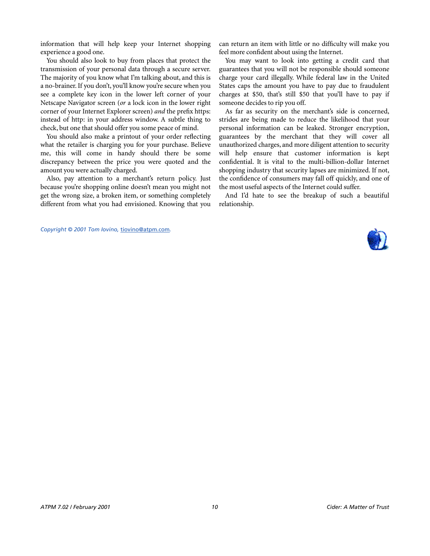information that will help keep your Internet shopping experience a good one.

You should also look to buy from places that protect the transmission of your personal data through a secure server. The majority of you know what I'm talking about, and this is a no-brainer. If you don't, you'll know you're secure when you see a complete key icon in the lower left corner of your Netscape Navigator screen (*or* a lock icon in the lower right corner of your Internet Explorer screen) *and* the prefix https: instead of http: in your address window. A subtle thing to check, but one that should offer you some peace of mind.

You should also make a printout of your order reflecting what the retailer is charging you for your purchase. Believe me, this will come in handy should there be some discrepancy between the price you were quoted and the amount you were actually charged.

Also, pay attention to a merchant's return policy. Just because you're shopping online doesn't mean you might not get the wrong size, a broken item, or something completely different from what you had envisioned. Knowing that you can return an item with little or no difficulty will make you feel more confident about using the Internet.

You may want to look into getting a credit card that guarantees that you will not be responsible should someone charge your card illegally. While federal law in the United States caps the amount you have to pay due to fraudulent charges at \$50, that's still \$50 that you'll have to pay if someone decides to rip you off.

As far as security on the merchant's side is concerned, strides are being made to reduce the likelihood that your personal information can be leaked. Stronger encryption, guarantees by the merchant that they will cover all unauthorized charges, and more diligent attention to security will help ensure that customer information is kept confidential. It is vital to the multi-billion-dollar Internet shopping industry that security lapses are minimized. If not, the confidence of consumers may fall off quickly, and one of the most useful aspects of the Internet could suffer.

And I'd hate to see the breakup of such a beautiful relationship.

*Copyright © 2001 Tom Iovino,* [tiovino@atpm.com](mailto:tiovino@atpm.com)*.*

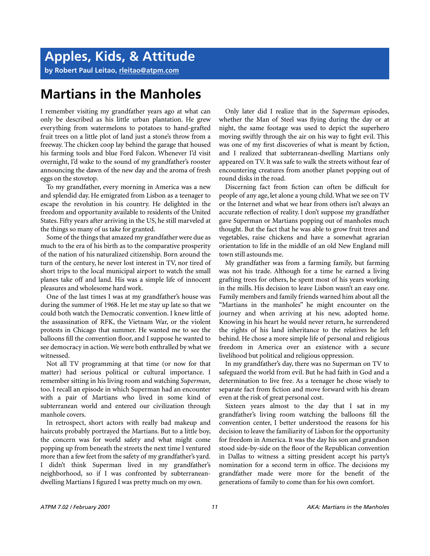**by Robert Paul Leitao, [rleitao@atpm.com](mailto:rleitao@atpm.com)**

# **Martians in the Manholes**

I remember visiting my grandfather years ago at what can only be described as his little urban plantation. He grew everything from watermelons to potatoes to hand-grafted fruit trees on a little plot of land just a stone's throw from a freeway. The chicken coop lay behind the garage that housed his farming tools and blue Ford Falcon. Whenever I'd visit overnight, I'd wake to the sound of my grandfather's rooster announcing the dawn of the new day and the aroma of fresh eggs on the stovetop.

To my grandfather, every morning in America was a new and splendid day. He emigrated from Lisbon as a teenager to escape the revolution in his country. He delighted in the freedom and opportunity available to residents of the United States. Fifty years after arriving in the US, he still marveled at the things so many of us take for granted.

Some of the things that amazed my grandfather were due as much to the era of his birth as to the comparative prosperity of the nation of his naturalized citizenship. Born around the turn of the century, he never lost interest in TV, nor tired of short trips to the local municipal airport to watch the small planes take off and land. His was a simple life of innocent pleasures and wholesome hard work.

One of the last times I was at my grandfather's house was during the summer of 1968. He let me stay up late so that we could both watch the Democratic convention. I knew little of the assassination of RFK, the Vietnam War, or the violent protests in Chicago that summer. He wanted me to see the balloons fill the convention floor, and I suppose he wanted to see democracy in action. We were both enthralled by what we witnessed.

Not all TV programming at that time (or now for that matter) had serious political or cultural importance. I remember sitting in his living room and watching *Superman*, too. I recall an episode in which Superman had an encounter with a pair of Martians who lived in some kind of subterranean world and entered our civilization through manhole covers.

In retrospect, short actors with really bad makeup and haircuts probably portrayed the Martians. But to a little boy, the concern was for world safety and what might come popping up from beneath the streets the next time I ventured more than a few feet from the safety of my grandfather's yard. I didn't think Superman lived in my grandfather's neighborhood, so if I was confronted by subterraneandwelling Martians I figured I was pretty much on my own.

Only later did I realize that in the *Superman* episodes, whether the Man of Steel was flying during the day or at night, the same footage was used to depict the superhero moving swiftly through the air on his way to fight evil. This was one of my first discoveries of what is meant by fiction, and I realized that subterranean-dwelling Martians only appeared on TV. It was safe to walk the streets without fear of encountering creatures from another planet popping out of round disks in the road.

Discerning fact from fiction can often be difficult for people of any age, let alone a young child. What we see on TV or the Internet and what we hear from others isn't always an accurate reflection of reality. I don't suppose my grandfather gave Superman or Martians popping out of manholes much thought. But the fact that he was able to grow fruit trees and vegetables, raise chickens and have a somewhat agrarian orientation to life in the middle of an old New England mill town still astounds me.

My grandfather was from a farming family, but farming was not his trade. Although for a time he earned a living grafting trees for others, he spent most of his years working in the mills. His decision to leave Lisbon wasn't an easy one. Family members and family friends warned him about all the "Martians in the manholes" he might encounter on the journey and when arriving at his new, adopted home. Knowing in his heart he would never return, he surrendered the rights of his land inheritance to the relatives he left behind. He chose a more simple life of personal and religious freedom in America over an existence with a secure livelihood but political and religious oppression.

In my grandfather's day, there was no Superman on TV to safeguard the world from evil. But he had faith in God and a determination to live free. As a teenager he chose wisely to separate fact from fiction and move forward with his dream even at the risk of great personal cost.

Sixteen years almost to the day that I sat in my grandfather's living room watching the balloons fill the convention center, I better understood the reasons for his decision to leave the familiarity of Lisbon for the opportunity for freedom in America. It was the day his son and grandson stood side-by-side on the floor of the Republican convention in Dallas to witness a sitting president accept his party's nomination for a second term in office. The decisions my grandfather made were more for the benefit of the generations of family to come than for his own comfort.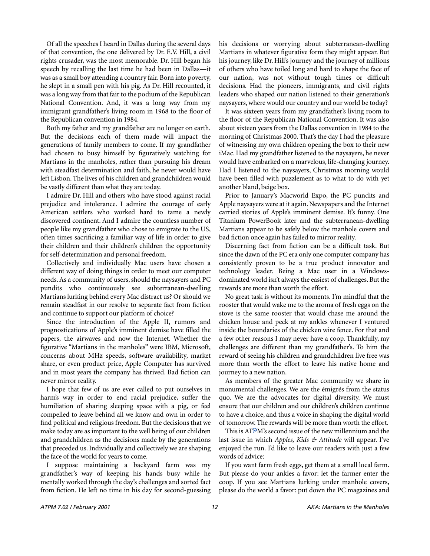Of all the speeches I heard in Dallas during the several days of that convention, the one delivered by Dr. E.V. Hill, a civil rights crusader, was the most memorable. Dr. Hill began his speech by recalling the last time he had been in Dallas—it was as a small boy attending a country fair. Born into poverty, he slept in a small pen with his pig. As Dr. Hill recounted, it was a long way from that fair to the podium of the Republican National Convention. And, it was a long way from my immigrant grandfather's living room in 1968 to the floor of the Republican convention in 1984.

Both my father and my grandfather are no longer on earth. But the decisions each of them made will impact the generations of family members to come. If my grandfather had chosen to busy himself by figuratively watching for Martians in the manholes, rather than pursuing his dream with steadfast determination and faith, he never would have left Lisbon. The lives of his children and grandchildren would be vastly different than what they are today.

I admire Dr. Hill and others who have stood against racial prejudice and intolerance. I admire the courage of early American settlers who worked hard to tame a newly discovered continent. And I admire the countless number of people like my grandfather who chose to emigrate to the US, often times sacrificing a familiar way of life in order to give their children and their children's children the opportunity for self-determination and personal freedom.

Collectively and individually Mac users have chosen a different way of doing things in order to meet our computer needs. As a community of users, should the naysayers and PC pundits who continuously see subterranean-dwelling Martians lurking behind every Mac distract us? Or should we remain steadfast in our resolve to separate fact from fiction and continue to support our platform of choice?

Since the introduction of the Apple II, rumors and prognostications of Apple's imminent demise have filled the papers, the airwaves and now the Internet. Whether the figurative "Martians in the manholes" were IBM, Microsoft, concerns about MHz speeds, software availability, market share, or even product price, Apple Computer has survived and in most years the company has thrived. Bad fiction can never mirror reality.

I hope that few of us are ever called to put ourselves in harm's way in order to end racial prejudice, suffer the humiliation of sharing sleeping space with a pig, or feel compelled to leave behind all we know and own in order to find political and religious freedom. But the decisions that we make today are as important to the well being of our children and grandchildren as the decisions made by the generations that preceded us. Individually and collectively we are shaping the face of the world for years to come.

I suppose maintaining a backyard farm was my grandfather's way of keeping his hands busy while he mentally worked through the day's challenges and sorted fact from fiction. He left no time in his day for second-guessing

his decisions or worrying about subterranean-dwelling Martians in whatever figurative form they might appear. But his journey, like Dr. Hill's journey and the journey of millions of others who have toiled long and hard to shape the face of our nation, was not without tough times or difficult decisions. Had the pioneers, immigrants, and civil rights leaders who shaped our nation listened to their generation's naysayers, where would our country and our world be today?

It was sixteen years from my grandfather's living room to the floor of the Republican National Convention. It was also about sixteen years from the Dallas convention in 1984 to the morning of Christmas 2000. That's the day I had the pleasure of witnessing my own children opening the box to their new iMac. Had my grandfather listened to the naysayers, he never would have embarked on a marvelous, life-changing journey. Had I listened to the naysayers, Christmas morning would have been filled with puzzlement as to what to do with yet another bland, beige box.

Prior to January's Macworld Expo, the PC pundits and Apple naysayers were at it again. Newspapers and the Internet carried stories of Apple's imminent demise. It's funny. One Titanium PowerBook later and the subterranean-dwelling Martians appear to be safely below the manhole covers and bad fiction once again has failed to mirror reality.

Discerning fact from fiction can be a difficult task. But since the dawn of the PC era only one computer company has consistently proven to be a true product innovator and technology leader. Being a Mac user in a Windowsdominated world isn't always the easiest of challenges. But the rewards are more than worth the effort.

No great task is without its moments. I'm mindful that the rooster that would wake me to the aroma of fresh eggs on the stove is the same rooster that would chase me around the chicken house and peck at my ankles whenever I ventured inside the boundaries of the chicken wire fence. For that and a few other reasons I may never have a coop. Thankfully, my challenges are different than my grandfather's. To him the reward of seeing his children and grandchildren live free was more than worth the effort to leave his native home and journey to a new nation.

As members of the greater Mac community we share in monumental challenges. We are the émigrés from the status quo. We are the advocates for digital diversity. We must ensure that our children and our children's children continue to have a choice, and thus a voice in shaping the digital world of tomorrow. The rewards will be more than worth the effort.

This is ATPM's second issue of the new millennium and the last issue in which *Apples, Kids & Attitude* will appear. I've enjoyed the run. I'd like to leave our readers with just a few words of advice:

If you want farm fresh eggs, get them at a small local farm. But please do your ankles a favor: let the farmer enter the coop. If you see Martians lurking under manhole covers, please do the world a favor: put down the PC magazines and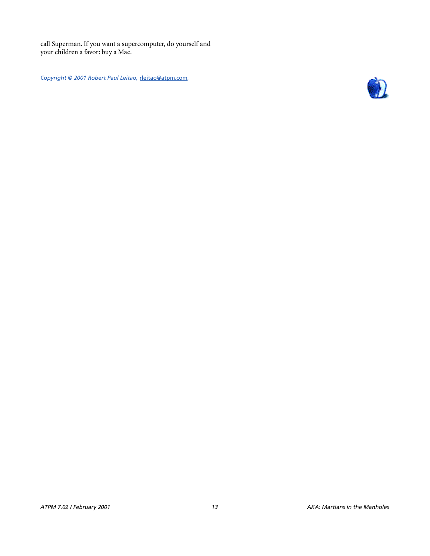call Superman. If you want a supercomputer, do yourself and your children a favor: buy a Mac.

*Copyright © 2001 Robert Paul Leitao,* [rleitao@atpm.com](mailto:rleitao@atpm.com)*.*

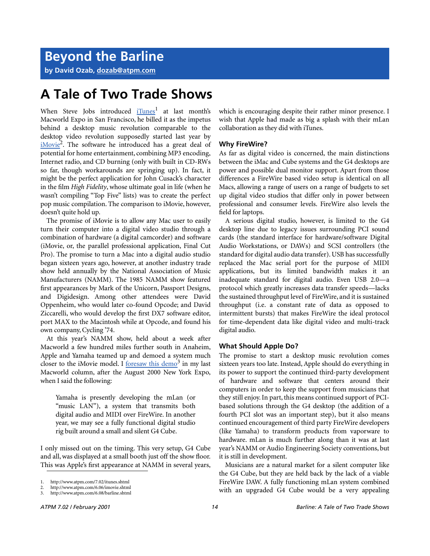**by David Ozab, [dozab@atpm.com](mailto:dozab@atpm.com)**

# **A Tale of Two Trade Shows**

When Steve Jobs introduced  $i$ Tunes<sup>1</sup> at last month's Macworld Expo in San Francisco, he billed it as the impetus behind a desktop music revolution comparable to the desktop video revolution supposedly started last year by [iMovie](http://www.atpm.com/6.06/imovie.shtml)<sup>2</sup>. The software he introduced has a great deal of potential for home entertainment, combining MP3 encoding, Internet radio, and CD burning (only with built in CD-RWs so far, though workarounds are springing up). In fact, it might be the perfect application for John Cusack's character in the film *High Fidelity*, whose ultimate goal in life (when he wasn't compiling "Top Five" lists) was to create the perfect pop music compilation. The comparison to iMovie, however, doesn't quite hold up.

The promise of iMovie is to allow any Mac user to easily turn their computer into a digital video studio through a combination of hardware (a digital camcorder) and software (iMovie, or, the parallel professional application, Final Cut Pro). The promise to turn a Mac into a digital audio studio began sixteen years ago, however, at another industry trade show held annually by the National Association of Music Manufacturers (NAMM). The 1985 NAMM show featured first appearances by Mark of the Unicorn, Passport Designs, and Digidesign. Among other attendees were David Oppenheim, who would later co-found Opcode; and David Ziccarelli, who would develop the first DX7 software editor, port MAX to the Macintosh while at Opcode, and found his own company, Cycling '74.

At this year's NAMM show, held about a week after Macworld a few hundred miles further south in Anaheim, Apple and Yamaha teamed up and demoed a system much closer to the iMovie model. I foresaw this demo<sup>3</sup> in my last Macworld column, after the August 2000 New York Expo, when I said the following:

Yamaha is presently developing the mLan (or "music LAN"), a system that transmits both digital audio and MIDI over FireWire. In another year, we may see a fully functional digital studio rig built around a small and silent G4 Cube.

I only missed out on the timing. This very setup, G4 Cube and all, was displayed at a small booth just off the show floor. This was Apple's first appearance at NAMM in several years, which is encouraging despite their rather minor presence. I wish that Apple had made as big a splash with their mLan collaboration as they did with iTunes.

#### **Why FireWire?**

As far as digital video is concerned, the main distinctions between the iMac and Cube systems and the G4 desktops are power and possible dual monitor support. Apart from those differences a FireWire based video setup is identical on all Macs, allowing a range of users on a range of budgets to set up digital video studios that differ only in power between professional and consumer levels. FireWire also levels the field for laptops.

A serious digital studio, however, is limited to the G4 desktop line due to legacy issues surrounding PCI sound cards (the standard interface for hardware/software Digital Audio Workstations, or DAWs) and SCSI controllers (the standard for digital audio data transfer). USB has successfully replaced the Mac serial port for the purpose of MIDI applications, but its limited bandwidth makes it an inadequate standard for digital audio. Even USB 2.0—a protocol which greatly increases data transfer speeds—lacks the sustained throughput level of FireWire, and it is sustained throughput (i.e. a constant rate of data as opposed to intermittent bursts) that makes FireWire the ideal protocol for time-dependent data like digital video and multi-track digital audio.

#### **What Should Apple Do?**

The promise to start a desktop music revolution comes sixteen years too late. Instead, Apple should do everything in its power to support the continued third-party development of hardware and software that centers around their computers in order to keep the support from musicians that they still enjoy. In part, this means continued support of PCIbased solutions through the G4 desktop (the addition of a fourth PCI slot was an important step), but it also means continued encouragement of third party FireWire developers (like Yamaha) to transform products from vaporware to hardware. mLan is much further along than it was at last year's NAMM or Audio Engineering Society conventions, but it is still in development.

Musicians are a natural market for a silent computer like the G4 Cube, but they are held back by the lack of a viable FireWire DAW. A fully functioning mLan system combined with an upgraded G4 Cube would be a very appealing

<sup>1.</sup> http://www.atpm.com/7.02/itunes.shtml

<sup>2.</sup> http://www.atpm.com/6.06/imovie.shtml<br>3. http://www.atpm.com/6.08/barline.shtml

<sup>3.</sup> http://www.atpm.com/6.08/barline.shtml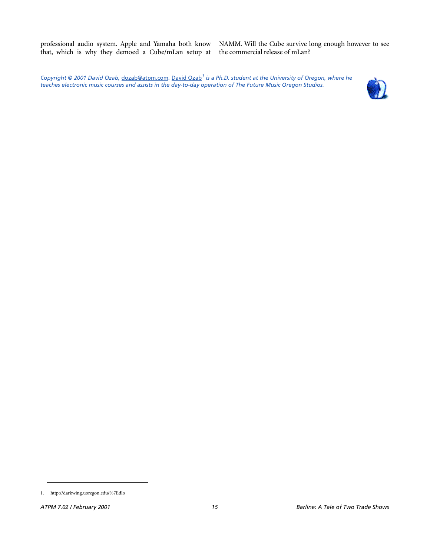professional audio system. Apple and Yamaha both know that, which is why they demoed a Cube/mLan setup at NAMM. Will the Cube survive long enough however to see the commercial release of mLan?

*Copyright © 2001 David Ozab,* [dozab@atpm.com](mailto:dozab@atpm.com)*.* [David Ozab](http://darkwing.uoregon.edu/%7Edlo)*1 is a Ph.D. student at the University of Oregon, where he teaches electronic music courses and assists in the day-to-day operation of The Future Music Oregon Studios.*



<sup>1.</sup> http://darkwing.uoregon.edu/%7Edlo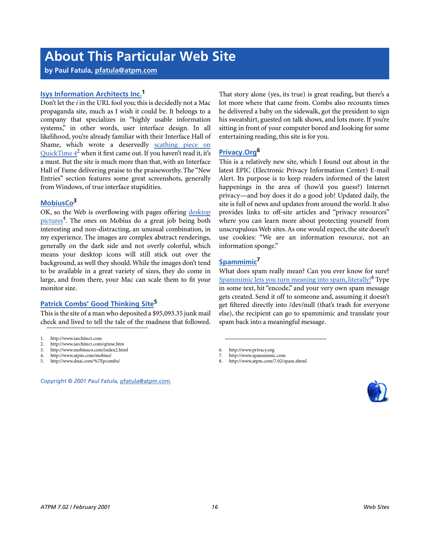# **About This Particular Web Site**

**by Paul Fatula, [pfatula@atpm.com](mailto:pfatula@atpm.com)**

# **[Isys Information Architects Inc.](http://www.iarchitect.com)1**

Don't let the *i* in the URL fool you; this is decidedly not a Mac propaganda site, much as I wish it could be. It belongs to a company that specializes in "highly usable information systems," in other words, user interface design. In all likelihood, you're already familiar with their Interface Hall of Shame, which wrote a deservedly [scathing piece on](http://www.iarchitect.com/qtime.htm) QuickTime  $4^2$  when it first came out. If you haven't read it, it's a must. But the site is much more than that, with an Interface Hall of Fame delivering praise to the praiseworthy. The "New Entries" section features some great screenshots, generally from Windows, of true interface stupidities.

# **[MobiusCo3](http://www.mobiusco.com/index2.html)**

OK, so the Web is overflowing with pages offering [desktop](http://www.atpm.com/mobius/) [pictures](http://www.atpm.com/mobius/)<sup>4</sup>. The ones on Mobius do a great job being both interesting and non-distracting, an unusual combination, in my experience. The images are complex abstract renderings, generally on the dark side and not overly colorful, which means your desktop icons will still stick out over the background, as well they should. While the images don't tend to be available in a great variety of sizes, they do come in large, and from there, your Mac can scale them to fit your monitor size.

# **[Patrick Combs' Good Thinking Site](http://www.dnai.com/%7Epcombs/)5**

This is the site of a man who deposited a \$95,093.35 junk mail check and lived to tell the tale of the madness that followed.

- 2. http://www.iarchitect.com/qtime.htm<br>3. http://www.mobiusco.com/index2.htm
- 3. http://www.mobiusco.com/index2.html
- 4. http://www.atpm.com/mobius/
- 5. http://www.dnai.com/%7Epcombs/

That story alone (yes, its true) is great reading, but there's a lot more where that came from. Combs also recounts times he delivered a baby on the sidewalk, got the president to sign his sweatshirt, guested on talk shows, and lots more. If you're sitting in front of your computer bored and looking for some entertaining reading, this site is for you.

# **[Privacy.Org6](http://www.privacy.org)**

This is a relatively new site, which I found out about in the latest EPIC (Electronic Privacy Information Center) E-mail Alert. Its purpose is to keep readers informed of the latest happenings in the area of (how'd you guess?) Internet privacy—and boy does it do a good job! Updated daily, the site is full of news and updates from around the world. It also provides links to off-site articles and "privacy resources" where you can learn more about protecting yourself from unscrupulous Web sites. As one would expect, the site doesn't use cookies: "We are an information resource, not an information sponge."

# **[Spammimic7](http://www.spammimic.com)**

What does spam really mean? Can you ever know for sure? [Spammimic lets you turn meaning into spam, literally!](http://www.atpm.com/7.02/spam.shtml)<sup>8</sup> Type in some text, hit "encode," and your very own spam message gets created. Send it off to someone and, assuming it doesn't get filtered directly into /dev/null (that's trash for everyone else), the recipient can go to spammimic and translate your spam back into a meaningful message.

6. http://www.privacy.org



<sup>1.</sup> http://www.iarchitect.com

*Copyright © 2001 Paul Fatula,* [pfatula@atpm.com](mailto:pfatula@atpm.com)*.*

<sup>7.</sup> http://www.spammimic.com

<sup>8.</sup> http://www.atpm.com/7.02/spam.shtml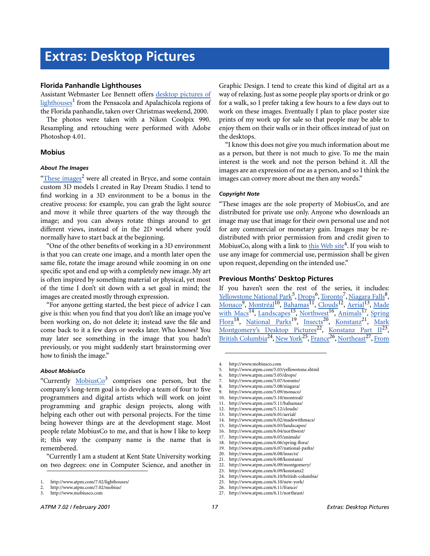#### **Florida Panhandle Lighthouses**

Assistant Webmaster Lee Bennett offers [desktop pictures of](http://www.atpm.com/7.02/lighthouses/) [lighthouses](http://www.atpm.com/7.02/lighthouses/)<sup>1</sup> from the Pensacola and Apalachicola regions of the Florida panhandle, taken over Christmas weekend, 2000.

The photos were taken with a Nikon Coolpix 990. Resampling and retouching were performed with Adobe Photoshop 4.01.

#### **Mobius**

#### *About The Images*

"[These images](http://www.atpm.com/7.02/mobius/)<sup>2</sup> were all created in Bryce, and some contain custom 3D models I created in Ray Dream Studio. I tend to find working in a 3D environment to be a bonus in the creative process: for example, you can grab the light source and move it while three quarters of the way through the image; and you can always rotate things around to get different views, instead of in the 2D world where you'd normally have to start back at the beginning.

"One of the other benefits of working in a 3D environment is that you can create one image, and a month later open the same file, rotate the image around while zooming in on one specific spot and end up with a completely new image. My art is often inspired by something material or physical, yet most of the time I don't sit down with a set goal in mind; the images are created mostly through expression.

"For anyone getting started, the best piece of advice I can give is this: when you find that you don't like an image you've been working on, do not delete it; instead save the file and come back to it a few days or weeks later. Who knows? You may later see something in the image that you hadn't previously, or you might suddenly start brainstorming over how to finish the image."

#### *About MobiusCo*

"Currently MobiusCo<sup>3</sup> comprises one person, but the company's long-term goal is to develop a team of four to five programmers and digital artists which will work on joint programming and graphic design projects, along with helping each other out with personal projects. For the time being however things are at the development stage. Most people relate MobiusCo to me, and that is how I like to keep it; this way the company name is the name that is remembered.

"Currently I am a student at Kent State University working on two degrees: one in Computer Science, and another in

3. http://www.mobiusco.com

Graphic Design. I tend to create this kind of digital art as a way of relaxing. Just as some people play sports or drink or go for a walk, so I prefer taking a few hours to a few days out to work on these images. Eventually I plan to place poster size prints of my work up for sale so that people may be able to enjoy them on their walls or in their offices instead of just on the desktops.

"I know this does not give you much information about me as a person, but there is not much to give. To me the main interest is the work and not the person behind it. All the images are an expression of me as a person, and so I think the images can convey more about me then any words."

#### *Copyright Note*

"These images are the sole property of MobiusCo, and are distributed for private use only. Anyone who downloads an image may use that image for their own personal use and not for any commercial or monetary gain. Images may be redistributed with prior permission from and credit given to MobiusCo, along with a link to [this Web site](http://www.mobiusco.com)<sup>4</sup>. If you wish to use any image for commercial use, permission shall be given upon request, depending on the intended use."

#### **Previous Months' Desktop Pictures**

If you haven't seen the rest of the series, it includes: <u>[Yellowstone National Park](http://www.atpm.com/5.03/yellowstone.shtml)<sup>5</sup>, [Drops](http://www.atpm.com/5.05/drops/)<sup>6</sup>, Toronto<sup>7</sup>, [Niagara Falls](http://www.atpm.com/5.08/niagara/)<sup>8</sup>,</u> Monaco<sup>9</sup>, [Montréal](http://www.atpm.com/5.10/montreal/)<sup>10</sup>, <u>[Bahamas](http://www.atpm.com/5.11/bahamas/)<sup>11</sup>, [Clouds](http://www.atpm.com/5.12/clouds/)</u><sup>12</sup>, [Aerial](http://www.atpm.com/6.01/aerial/)<sup>13</sup>, [Made](http://www.atpm.com/6.02/madewithmacs/) [with Macs](http://www.atpm.com/6.02/madewithmacs/)<sup>14</sup>, [Landscapes](http://www.atpm.com/6.03/landscapes/)<sup>15</sup>, [Northwest](http://www.atpm.com/6.04/northwest/)<sup>16</sup>, [Animals](http://www.atpm.com/6.05/animals/)<sup>17</sup>, [Spring](http://www.atpm.com/6.06/spring-flora/)  $F = \frac{F \cdot \text{F}}{F}$ , National Parks<sup>19</sup>, [Insects](http://www.atpm.com/6.08/insects/)<sup>20</sup>, [Konstanz](http://www.atpm.com/6.08/konstanz/)<sup>21</sup>, [Mark](http://www.atpm.com/6.09/montgomery/) [Montgomery's Desktop Pictures](http://www.atpm.com/6.09/montgomery/)<sup>22</sup>, [Konstanz Part II](http://www.atpm.com/6.09/konstanz)<sup>23</sup>, British Columbia<sup>24</sup>, New York<sup>25</sup>, [France](http://www.atpm.com/6.11/france/)<sup>26</sup>, [Northeast](http://www.atpm.com/6.11/northeast/)<sup>27</sup>, [From](http://www.atpm.com/6.12/from-atpm-readers/)

- 10. http://www.atpm.com/5.10/montreal/
- 11. http://www.atpm.com/5.11/bahamas/
- 12. http://www.atpm.com/5.12/clouds/
- 13. http://www.atpm.com/6.01/aerial/
- 14. http://www.atpm.com/6.02/madewithmacs/
- 15. http://www.atpm.com/6.03/landscapes/
- 16. http://www.atpm.com/6.04/northwest/
- 17. http://www.atpm.com/6.05/animals/
- 18. http://www.atpm.com/6.06/spring-flora/
- 19. http://www.atpm.com/6.07/national-parks/
- 20. http://www.atpm.com/6.08/insects/<br>21. http://www.atpm.com/6.08/konstan http://www.atpm.com/6.08/konstanz/
- 22. http://www.atpm.com/6.09/montgomery/
- 23. http://www.atpm.com/6.09/konstanz2
- 24. http://www.atpm.com/6.10/british-columbia/
- 25. http://www.atpm.com/6.10/new-york/
- 26. http://www.atpm.com/6.11/france/
- 27. http://www.atpm.com/6.11/northeast/

<sup>1.</sup> http://www.atpm.com/7.02/lighthouses/

<sup>2.</sup> http://www.atpm.com/7.02/mobius/

<sup>4.</sup> http://www.mobiusco.com

<sup>5.</sup> http://www.atpm.com/5.03/yellowstone.shtml

<sup>6.</sup> http://www.atpm.com/5.05/drops/

<sup>7.</sup> http://www.atpm.com/5.07/toronto/

<sup>8.</sup> http://www.atpm.com/5.08/niagara/ 9. http://www.atpm.com/5.09/monaco/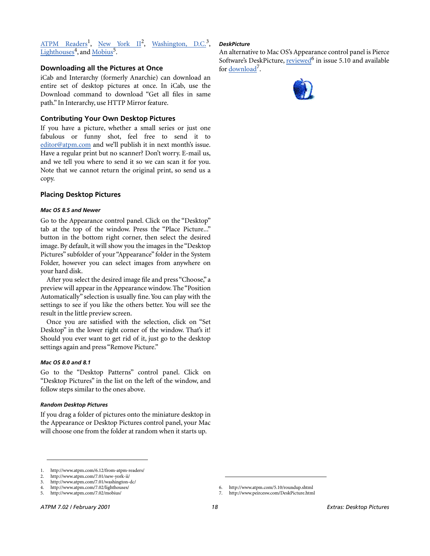# [ATPM Readers](http://www.atpm.com/6.12/from-atpm-readers/)<sup>1</sup>, [New York II](http://www.atpm.com/7.01/new-york-ii/)<sup>2</sup>, Washington, D.C.<sup>3</sup>, [Lighthouses](http://www.atpm.com/7.02/lighthouses/)<sup>4</sup>, and [Mobius](http://www.atpm.com/7.02/mobius/)<sup>5</sup>.

### **Downloading all the Pictures at Once**

iCab and Interarchy (formerly Anarchie) can download an entire set of desktop pictures at once. In iCab, use the Download command to download "Get all files in same path." In Interarchy, use HTTP Mirror feature.

### **Contributing Your Own Desktop Pictures**

If you have a picture, whether a small series or just one fabulous or funny shot, feel free to send it to [editor@atpm.com](mailto:editor@atpm.com) and we'll publish it in next month's issue. Have a regular print but no scanner? Don't worry. E-mail us, and we tell you where to send it so we can scan it for you. Note that we cannot return the original print, so send us a copy.

### **Placing Desktop Pictures**

#### *Mac OS 8.5 and Newer*

Go to the Appearance control panel. Click on the "Desktop" tab at the top of the window. Press the "Place Picture..." button in the bottom right corner, then select the desired image. By default, it will show you the images in the "Desktop Pictures" subfolder of your "Appearance" folder in the System Folder, however you can select images from anywhere on your hard disk.

After you select the desired image file and press "Choose," a preview will appear in the Appearance window. The "Position Automatically" selection is usually fine. You can play with the settings to see if you like the others better. You will see the result in the little preview screen.

Once you are satisfied with the selection, click on "Set Desktop" in the lower right corner of the window. That's it! Should you ever want to get rid of it, just go to the desktop settings again and press "Remove Picture."

#### *Mac OS 8.0 and 8.1*

Go to the "Desktop Patterns" control panel. Click on "Desktop Pictures" in the list on the left of the window, and follow steps similar to the ones above.

#### *Random Desktop Pictures*

If you drag a folder of pictures onto the miniature desktop in the Appearance or Desktop Pictures control panel, your Mac will choose one from the folder at random when it starts up.

### *DeskPicture*

An alternative to Mac OS's Appearance control panel is Pierce Software's DeskPicture, reviewed<sup>6</sup> in issue 5.10 and available for <u>download</u><sup>7</sup>.



6. http://www.atpm.com/5.10/roundup.shtml 7. http://www.peircesw.com/DeskPicture.html

<sup>1.</sup> http://www.atpm.com/6.12/from-atpm-readers/

<sup>2.</sup> http://www.atpm.com/7.01/new-york-ii/

<sup>3.</sup> http://www.atpm.com/7.01/washington-dc/

<sup>4.</sup> http://www.atpm.com/7.02/lighthouses/ 5. http://www.atpm.com/7.02/mobius/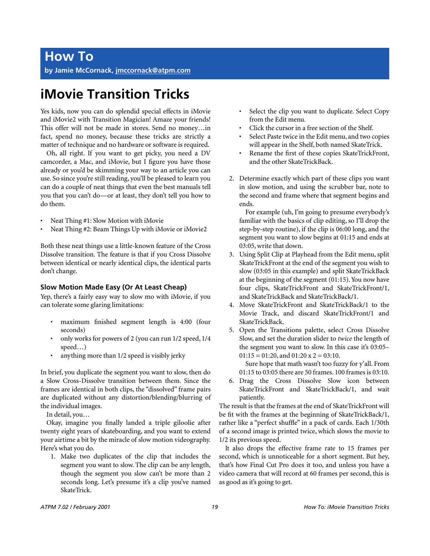# **iMovie Transition Tricks**

Yes kids, now you can do splendid special effects in iMovie and iMovie2 with Transition Magician! Amaze your friends! This offer will not be made in stores. Send no money…in fact, spend no money, because these tricks are strictly a matter of technique and no hardware or software is required.

Oh, all right. If you want to get picky, you need a DV camcorder, a Mac, and iMovie, but I figure you have those already or you'd be skimming your way to an article you can use. So since you're still reading, you'll be pleased to learn you can do a couple of neat things that even the best manuals tell you that you can't do—or at least, they don't tell you how to do them.

- Neat Thing #1: Slow Motion with iMovie
- Neat Thing #2: Beam Things Up with iMovie or iMovie2

Both these neat things use a little-known feature of the Cross Dissolve transition. The feature is that if you Cross Dissolve between identical or nearly identical clips, the identical parts don't change.

# **Slow Motion Made Easy (Or At Least Cheap)**

Yep, there's a fairly easy way to slow mo with iMovie, if you can tolerate some glaring limitations:

- maximum finished segment length is 4:00 (four seconds)
- only works for powers of 2 (you can run 1/2 speed, 1/4 speed…)
- anything more than 1/2 speed is visibly jerky

In brief, you duplicate the segment you want to slow, then do a Slow Cross-Dissolve transition between them. Since the frames are identical in both clips, the "dissolved" frame pairs are duplicated without any distortion/blending/blurring of the individual images.

In detail, you…

Okay, imagine you finally landed a triple giloolie after twenty eight years of skateboarding, and you want to extend your airtime a bit by the miracle of slow motion videography. Here's what you do.

1. Make two duplicates of the clip that includes the segment you want to slow. The clip can be any length, though the segment you slow can't be more than 2 seconds long. Let's presume it's a clip you've named SkateTrick.

- Select the clip you want to duplicate. Select Copy from the Edit menu.
- Click the cursor in a free section of the Shelf.
- Select Paste twice in the Edit menu, and two copies will appear in the Shelf, both named SkateTrick.
- Rename the first of these copies SkateTrickFront, and the other SkateTrickBack.
- 2. Determine exactly which part of these clips you want in slow motion, and using the scrubber bar, note to the second and frame where that segment begins and ends.

For example (uh, I'm going to presume everybody's familiar with the basics of clip editing, so I'll drop the step-by-step routine), if the clip is 06:00 long, and the segment you want to slow begins at 01:15 and ends at 03:05, write that down.

- 3. Using Split Clip at Playhead from the Edit menu, split SkateTrickFront at the end of the segment you wish to slow (03:05 in this example) and split SkateTrickBack at the beginning of the segment (01:15). You now have four clips, SkateTrickFront and SkateTrickFront/1, and SkateTrickBack and SkateTrickBack/1.
- 4. Move SkateTrickFront and SkateTrickBack/1 to the Movie Track, and discard SkateTrickFront/1 and SkateTrickBack.
- 5. Open the Transitions palette, select Cross Dissolve Slow, and set the duration slider to *twice* the length of the segment you want to slow. In this case it's 03:05–  $01:15 = 01:20$ , and  $01:20 \times 2 = 03:10$ .

Sure hope that math wasn't too fuzzy for y'all. From 01:15 to 03:05 there are 50 frames. 100 frames is 03:10.

6. Drag the Cross Dissolve Slow icon between SkateTrickFront and SkateTrickBack/1, and wait patiently.

The result is that the frames at the end of SkateTrickFront will be fit with the frames at the beginning of SkateTrickBack/1, rather like a "perfect shuffle" in a pack of cards. Each 1/30th of a second image is printed twice, which slows the movie to 1/2 its previous speed.

It also drops the effective frame rate to 15 frames per second, which is unnoticeable for a short segment. But hey, that's how Final Cut Pro does it too, and unless you have a video camera that will record at 60 frames per second, this is as good as it's going to get.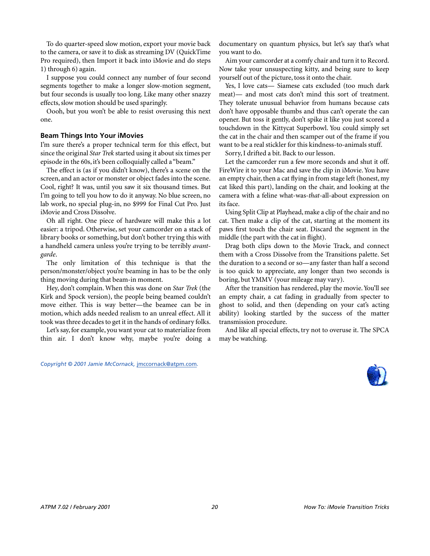To do quarter-speed slow motion, export your movie back to the camera, or save it to disk as streaming DV (QuickTime Pro required), then Import it back into iMovie and do steps 1) through 6) again.

I suppose you could connect any number of four second segments together to make a longer slow-motion segment, but four seconds is usually too long. Like many other snazzy effects, slow motion should be used sparingly.

Oooh, but you won't be able to resist overusing this next one.

#### **Beam Things Into Your iMovies**

I'm sure there's a proper technical term for this effect, but since the original *Star Trek* started using it about six times per episode in the 60s, it's been colloquially called a "beam."

The effect is (as if you didn't know), there's a scene on the screen, and an actor or monster or object fades into the scene. Cool, right? It was, until you saw it six thousand times. But I'm going to tell you how to do it anyway. No blue screen, no lab work, no special plug-in, no \$999 for Final Cut Pro. Just iMovie and Cross Dissolve.

Oh all right. One piece of hardware will make this a lot easier: a tripod. Otherwise, set your camcorder on a stack of library books or something, but don't bother trying this with a handheld camera unless you're trying to be terribly *avantgarde*.

The only limitation of this technique is that the person/monster/object you're beaming in has to be the only thing moving during that beam-in moment.

Hey, don't complain. When this was done on *Star Trek* (the Kirk and Spock version), the people being beamed couldn't move either. This is way better—the beamee can be in motion, which adds needed realism to an unreal effect. All it took was three decades to get it in the hands of ordinary folks.

Let's say, for example, you want your cat to materialize from thin air. I don't know why, maybe you're doing a

*Copyright © 2001 Jamie McCornack,* [jmccornack@atpm.com](mailto:jmccornack@atpm.com)*.*

documentary on quantum physics, but let's say that's what you want to do.

Aim your camcorder at a comfy chair and turn it to Record. Now take your unsuspecting kitty, and being sure to keep yourself out of the picture, toss it onto the chair.

Yes, I love cats— Siamese cats excluded (too much dark meat)— and most cats don't mind this sort of treatment. They tolerate unusual behavior from humans because cats don't have opposable thumbs and thus can't operate the can opener. But toss it gently, don't spike it like you just scored a touchdown in the Kittycat Superbowl. You could simply set the cat in the chair and then scamper out of the frame if you want to be a real stickler for this kindness-to-animals stuff.

Sorry, I drifted a bit. Back to our lesson.

Let the camcorder run a few more seconds and shut it off. FireWire it to your Mac and save the clip in iMovie. You have an empty chair, then a cat flying in from stage left (honest, my cat liked this part), landing on the chair, and looking at the camera with a feline what-was-*that*-all-about expression on its face.

Using Split Clip at Playhead, make a clip of the chair and no cat. Then make a clip of the cat, starting at the moment its paws first touch the chair seat. Discard the segment in the middle (the part with the cat in flight).

Drag both clips down to the Movie Track, and connect them with a Cross Dissolve from the Transitions palette. Set the duration to a second or so—any faster than half a second is too quick to appreciate, any longer than two seconds is boring, but YMMV (your mileage may vary).

After the transition has rendered, play the movie. You'll see an empty chair, a cat fading in gradually from specter to ghost to solid, and then (depending on your cat's acting ability) looking startled by the success of the matter transmission procedure.

And like all special effects, try not to overuse it. The SPCA may be watching.

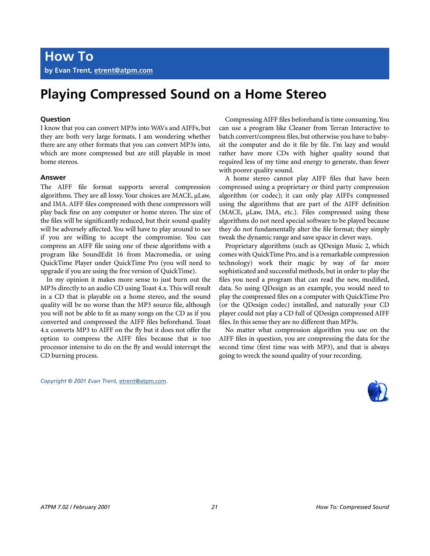# **Playing Compressed Sound on a Home Stereo**

### **Question**

I know that you can convert MP3s into WAVs and AIFFs, but they are both very large formats. I am wondering whether there are any other formats that you can convert MP3s into, which are more compressed but are still playable in most home stereos.

#### **Answer**

The AIFF file format supports several compression algorithms. They are all lossy. Your choices are MACE,  $\mu$ Law, and IMA. AIFF files compressed with these compressors will play back fine on any computer or home stereo. The size of the files will be significantly reduced, but their sound quality will be adversely affected. You will have to play around to see if you are willing to accept the compromise. You can compress an AIFF file using one of these algorithms with a program like SoundEdit 16 from Macromedia, or using QuickTime Player under QuickTime Pro (you will need to upgrade if you are using the free version of QuickTime).

In my opinion it makes more sense to just burn out the MP3s directly to an audio CD using Toast 4.x. This will result in a CD that is playable on a home stereo, and the sound quality will be no worse than the MP3 source file, although you will not be able to fit as many songs on the CD as if you converted and compressed the AIFF files beforehand. Toast 4.x converts MP3 to AIFF on the fly but it does not offer the option to compress the AIFF files because that is too processor intensive to do on the fly and would interrupt the CD burning process.

Compressing AIFF files beforehand is time consuming. You can use a program like Cleaner from Terran Interactive to batch convert/compress files, but otherwise you have to babysit the computer and do it file by file. I'm lazy and would rather have more CDs with higher quality sound that required less of my time and energy to generate, than fewer with poorer quality sound.

A home stereo cannot play AIFF files that have been compressed using a proprietary or third party compression algorithm (or codec); it can only play AIFFs compressed using the algorithms that are part of the AIFF definition (MACE, µLaw, IMA, etc.). Files compressed using these algorithms do not need special software to be played because they do not fundamentally alter the file format; they simply tweak the dynamic range and save space in clever ways.

Proprietary algorithms (such as QDesign Music 2, which comes with QuickTime Pro, and is a remarkable compression technology) work their magic by way of far more sophisticated and successful methods, but in order to play the files you need a program that can read the new, modified, data. So using QDesign as an example, you would need to play the compressed files on a computer with QuickTime Pro (or the QDesign codec) installed, and naturally your CD player could not play a CD full of QDesign compressed AIFF files. In this sense they are no different than MP3s.

No matter what compression algorithm you use on the AIFF files in question, you are compressing the data for the second time (first time was with MP3), and that is always going to wreck the sound quality of your recording.

```
Copyright © 2001 Evan Trent, etrent@atpm.com.
```
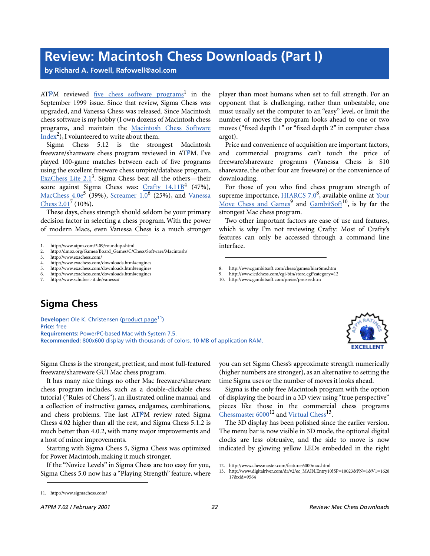# **Review: Macintosh Chess Downloads (Part I)**

**by Richard A. Fowell, [Rafowell@aol.com](mailto:Rafowell@aol.com)**

ATPM reviewed <u>[five chess software programs](http://www.atpm.com/5.09/roundup.shtml)</u><sup>1</sup> in the September 1999 issue. Since that review, Sigma Chess was upgraded, and Vanessa Chess was released. Since Macintosh chess software is my hobby (I own dozens of Macintosh chess programs, and maintain the [Macintosh Chess Software](http://dmoz.org/Games/Board_Games/C/Chess/Software/Macintosh/)  $\frac{\text{Index}^2}{\text{Index}^2}$ , I volunteered to write about them.

Sigma Chess 5.12 is the strongest Macintosh freeware/shareware chess program reviewed in ATPM. I've played 100-game matches between each of five programs using the excellent freeware chess umpire/database program, [ExaChess Lite 2.1](http://www.exachess.com/)<sup>3</sup>. Sigma Chess beat all the others—their score against Sigma Chess was: [Crafty 14.11B](http://www.exachess.com/downloads.html#engines)<sup>4</sup> (47%), MacChess 4.0e<sup>5</sup> (39%), <u>Screamer 1.0<sup>6</sup> (25%), and [Vanessa](http://www.schubert-it.de/vanessa/)</u>  $\frac{\text{Chess } 2.01}{\text{C} \cdot 10\%}.$ 

These days, chess strength should seldom be your primary decision factor in selecting a chess program. With the power of modern Macs, even Vanessa Chess is a much stronger

- 2. http://dmoz.org/Games/Board\_Games/C/Chess/Software/Macintosh/<br>3. http://www.exachess.com/
- 3. http://www.exachess.com/
- http://www.exachess.com/downloads.html#engines
- 5. http://www.exachess.com/downloads.html#engines<br>6. http://www.exachess.com/downloads.html#engines
- http://www.exachess.com/downloads.html#engines
- 7. http://www.schubert-it.de/vanessa/

player than most humans when set to full strength. For an opponent that is challenging, rather than unbeatable, one must usually set the computer to an "easy" level, or limit the number of moves the program looks ahead to one or two moves ("fixed depth 1" or "fixed depth 2" in computer chess argot).

Price and convenience of acquisition are important factors, and commercial programs can't touch the price of freeware/shareware programs (Vanessa Chess is \$10 shareware, the other four are freeware) or the convenience of downloading.

For those of you who find chess program strength of supreme importance, **HIARCS 7.0**<sup>8</sup>, available online at [Your](http://www.icdchess.com/cgi-bin/store.cgi?category=12) [Move Chess and Games](http://www.icdchess.com/cgi-bin/store.cgi?category=12)<sup>9</sup> and [GambitSoft](http://www.gambitsoft.com/preise/preisee.htm)<sup>10</sup>, is by far the strongest Mac chess program.

Two other important factors are ease of use and features, which is why I'm not reviewing Crafty: Most of Crafty's features can only be accessed through a command line interface.

10. http://www.gambitsoft.com/preise/preisee.htm

# **Sigma Chess**

**Developer:** Ole K. Christensen ([product page](http://www.sigmachess.com/)<sup>11</sup>) **Price:** free **Requirements:** PowerPC-based Mac with System 7.5. **Recommended:** 800x600 display with thousands of colors, 10 MB of application RAM.



Sigma Chess is the strongest, prettiest, and most full-featured freeware/shareware GUI Mac chess program.

It has many nice things no other Mac freeware/shareware chess program includes, such as a double-clickable chess tutorial ("Rules of Chess"), an illustrated online manual, and a collection of instructive games, endgames, combinations, and chess problems. The last ATPM review rated Sigma Chess 4.02 higher than all the rest, and Sigma Chess 5.1.2 is much better than 4.0.2, with many major improvements and a host of minor improvements.

Starting with Sigma Chess 5, Sigma Chess was optimized for Power Macintosh, making it much stronger.

If the "Novice Levels" in Sigma Chess are too easy for you, Sigma Chess 5.0 now has a "Playing Strength" feature, where you can set Sigma Chess's approximate strength numerically (higher numbers are stronger), as an alternative to setting the time Sigma uses or the number of moves it looks ahead.

Sigma is the only free Macintosh program with the option of displaying the board in a 3D view using "true perspective" pieces like those in the commercial chess programs Chessmaster  $6000^{12}$  and [Virtual Chess](http://www.digitalriver.com/dr/v2/ec_MAIN.Entry10?SP=10023&PN=1&V1=162817&xid=9564)<sup>13</sup>.

The 3D display has been polished since the earlier version. The menu bar is now visible in 3D mode, the optional digital clocks are less obtrusive, and the side to move is now indicated by glowing yellow LEDs embedded in the right

<sup>1.</sup> http://www.atpm.com/5.09/roundup.shtml

<sup>8.</sup> http://www.gambitsoft.com/chess/games/hiar6me.htm

<sup>9.</sup> http://www.icdchess.com/cgi-bin/store.cgi?category=12

<sup>12.</sup> http://www.chessmaster.com/features6000mac.html

<sup>13.</sup> http://www.digitalriver.com/dr/v2/ec\_MAIN.Entry10?SP=10023&PN=1&V1=1628 17&xid=9564

<sup>11.</sup> http://www.sigmachess.com/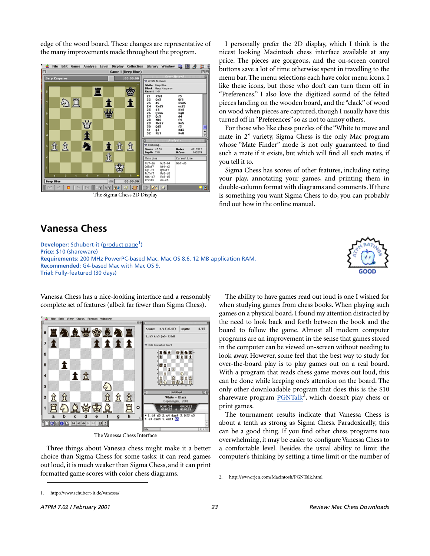edge of the wood board. These changes are representative of the many improvements made throughout the program.



# **Vanessa Chess**

**Edit View Chess Format** 

↑ ☆

8

 $\overline{\mathbf{z}}$ 

6  $\vert$  5

4

3

2

 $\ddagger$ 

t

b  $\mathbf c$ 

**DOOD** HER

<u>ea a stean e</u>

**Developer:** Schubert-it ([product page](http://www.schubert-it.de/vanessa/)<sup>1</sup>) **Price:** \$10 (shareware) **Requirements:** 200 MHz PowerPC-based Mac, Mac OS 8.6, 12 MB application RAM. **Recommended:** G4-based Mac with Mac OS 9. **Trial:** Fully-featured (30 days)

Score:

 $*/*(-0.41)$ 

5. h5 6.h3 8a5+ 7.8d2

**Depth:** 

 $0.44$ 

White - Black

00:01:54 d4 d5 2.<br>3 czd4 5.

00:00:22

 $4/15$ 

Vanessa Chess has a nice-looking interface and a reasonably complete set of features (albeit far fewer than Sigma Chess).

**titi** 

今

 $B$ :

I personally prefer the 2D display, which I think is the nicest looking Macintosh chess interface available at any price. The pieces are gorgeous, and the on-screen control buttons save a lot of time otherwise spent in travelling to the menu bar. The menu selections each have color menu icons. I like these icons, but those who don't can turn them off in "Preferences." I also love the digitized sound of the felted pieces landing on the wooden board, and the "clack" of wood on wood when pieces are captured, though I usually have this turned off in "Preferences" so as not to annoy others.

For those who like chess puzzles of the "White to move and mate in 2" variety, Sigma Chess is the only Mac program whose "Mate Finder" mode is not only guaranteed to find such a mate if it exists, but which will find all such mates, if you tell it to.

Sigma Chess has scores of other features, including rating your play, annotating your games, and printing them in double-column format with diagrams and comments. If there is something you want Sigma Chess to do, you can probably find out how in the online manual.

The ability to have games read out loud is one I wished for when studying games from chess books. When playing such games on a physical board, I found my attention distracted by the need to look back and forth between the book and the board to follow the game. Almost all modern computer programs are an improvement in the sense that games stored in the computer can be viewed on-screen without needing to look away. However, some feel that the best way to study for over-the-board play is to play games out on a real board. With a program that reads chess game moves out loud, this can be done while keeping one's attention on the board. The only other downloadable program that does this is the \$10 shareware program [PGNTalk](http://www.rjen.com/Macintosh/PGNTalk.html)<sup>2</sup>, which doesn't play chess or print games.

The tournament results indicate that Vanessa Chess is about a tenth as strong as Sigma Chess. Paradoxically, this can be a good thing. If you find other chess programs too overwhelming, it may be easier to configure Vanessa Chess to a comfortable level. Besides the usual ability to limit the computer's thinking by setting a time limit or the number of

⇬  $\hbar$ 岔 贠 <del></del> 買わ  $0.1999$ 買  $\mathbf{1}$  $\circ$ 

The Vanessa Chess Interface

g

Three things about Vanessa chess might make it a better choice than Sigma Chess for some tasks: it can read games out loud, it is much weaker than Sigma Chess, and it can print formatted game scores with color chess diagrams.



<sup>2.</sup> http://www.rjen.com/Macintosh/PGNTalk.html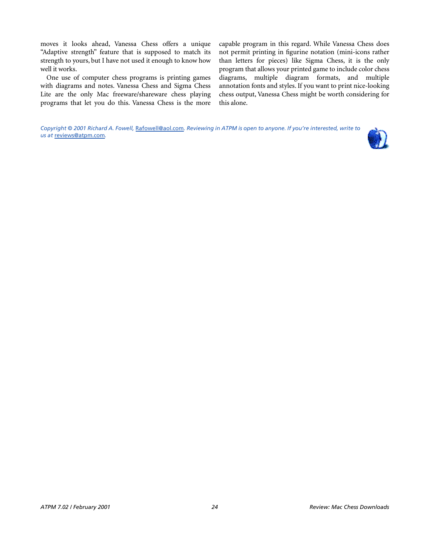moves it looks ahead, Vanessa Chess offers a unique "Adaptive strength" feature that is supposed to match its strength to yours, but I have not used it enough to know how well it works.

One use of computer chess programs is printing games with diagrams and notes. Vanessa Chess and Sigma Chess Lite are the only Mac freeware/shareware chess playing programs that let you do this. Vanessa Chess is the more capable program in this regard. While Vanessa Chess does not permit printing in figurine notation (mini-icons rather than letters for pieces) like Sigma Chess, it is the only program that allows your printed game to include color chess diagrams, multiple diagram formats, and multiple annotation fonts and styles. If you want to print nice-looking chess output, Vanessa Chess might be worth considering for this alone.

*Copyright © 2001 Richard A. Fowell,* [Rafowell@aol.com](mailto:Rafowell@aol.com)*. Reviewing in ATPM is open to anyone. If you're interested, write to us at* [reviews@atpm.com](mailto:reviews@atpm.com)*.*

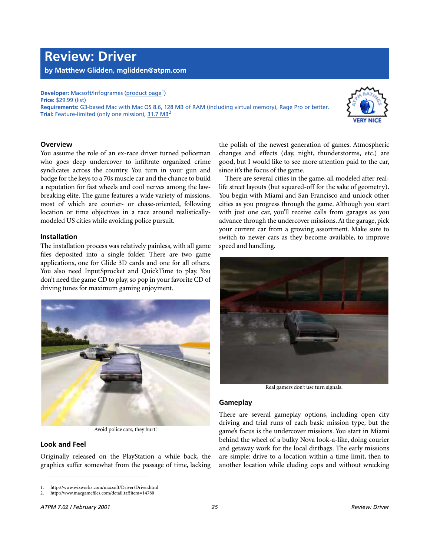**Review: Driver by Matthew Glidden, [mglidden@atpm.com](mailto:mglidden@atpm.com)**

**Developer:** Macsoft/Infogrames ([product page](http://www.wizworks.com/macsoft/Driver/Driver.html)<sup>1</sup>) **Price:** \$29.99 (list) **Requirements:** G3-based Mac with Mac OS 8.6, 128 MB of RAM (including virtual memory), Rage Pro or better. **Trial:** Feature-limited (only one mission), [31.7 MB](http://www.macgamefiles.com/detail.taf?item=14780)<sup>2</sup>



#### **Overview**

You assume the role of an ex-race driver turned policeman who goes deep undercover to infiltrate organized crime syndicates across the country. You turn in your gun and badge for the keys to a 70s muscle car and the chance to build a reputation for fast wheels and cool nerves among the lawbreaking elite. The game features a wide variety of missions, most of which are courier- or chase-oriented, following location or time objectives in a race around realisticallymodeled US cities while avoiding police pursuit.

#### **Installation**

The installation process was relatively painless, with all game files deposited into a single folder. There are two game applications, one for Glide 3D cards and one for all others. You also need InputSprocket and QuickTime to play. You don't need the game CD to play, so pop in your favorite CD of driving tunes for maximum gaming enjoyment.



Avoid police cars; they hurt!

### **Look and Feel**

Originally released on the PlayStation a while back, the graphics suffer somewhat from the passage of time, lacking

the polish of the newest generation of games. Atmospheric changes and effects (day, night, thunderstorms, etc.) are good, but I would like to see more attention paid to the car, since it's the focus of the game.

There are several cities in the game, all modeled after reallife street layouts (but squared-off for the sake of geometry). You begin with Miami and San Francisco and unlock other cities as you progress through the game. Although you start with just one car, you'll receive calls from garages as you advance through the undercover missions. At the garage, pick your current car from a growing assortment. Make sure to switch to newer cars as they become available, to improve speed and handling.



Real gamers don't use turn signals.

#### **Gameplay**

There are several gameplay options, including open city driving and trial runs of each basic mission type, but the game's focus is the undercover missions. You start in Miami behind the wheel of a bulky Nova look-a-like, doing courier and getaway work for the local dirtbags. The early missions are simple: drive to a location within a time limit, then to another location while eluding cops and without wrecking

<sup>1.</sup> http://www.wizworks.com/macsoft/Driver/Driver.html

<sup>2.</sup> http://www.macgamefiles.com/detail.taf?item=14780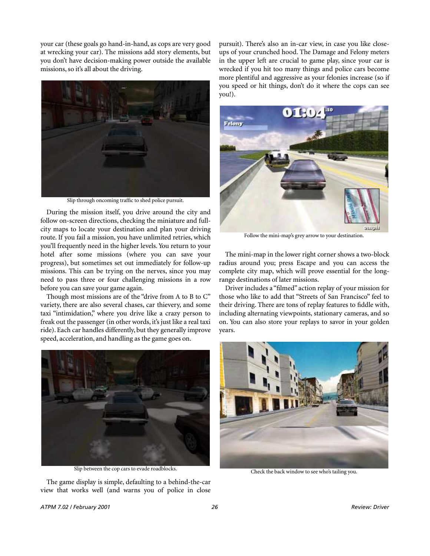your car (these goals go hand-in-hand, as cops are very good at wrecking your car). The missions add story elements, but you don't have decision-making power outside the available missions, so it's all about the driving.



Slip through oncoming traffic to shed police pursuit.

During the mission itself, you drive around the city and follow on-screen directions, checking the miniature and fullcity maps to locate your destination and plan your driving route. If you fail a mission, you have unlimited retries, which you'll frequently need in the higher levels. You return to your hotel after some missions (where you can save your progress), but sometimes set out immediately for follow-up missions. This can be trying on the nerves, since you may need to pass three or four challenging missions in a row before you can save your game again.

Though most missions are of the "drive from A to B to C" variety, there are also several chases, car thievery, and some taxi "intimidation," where you drive like a crazy person to freak out the passenger (in other words, it's just like a real taxi ride). Each car handles differently, but they generally improve speed, acceleration, and handling as the game goes on.



Slip between the cop cars to evade roadblocks.

The game display is simple, defaulting to a behind-the-car view that works well (and warns you of police in close

pursuit). There's also an in-car view, in case you like closeups of your crunched hood. The Damage and Felony meters in the upper left are crucial to game play, since your car is wrecked if you hit too many things and police cars become more plentiful and aggressive as your felonies increase (so if you speed or hit things, don't do it where the cops can see you!).



Follow the mini-map's grey arrow to your destination.

The mini-map in the lower right corner shows a two-block radius around you; press Escape and you can access the complete city map, which will prove essential for the longrange destinations of later missions.

Driver includes a "filmed" action replay of your mission for those who like to add that "Streets of San Francisco" feel to their driving. There are tons of replay features to fiddle with, including alternating viewpoints, stationary cameras, and so on. You can also store your replays to savor in your golden years.



Check the back window to see who's tailing you.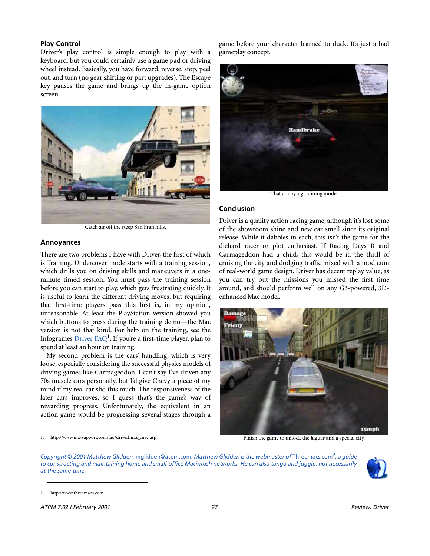#### **Play Control**

Driver's play control is simple enough to play with a keyboard, but you could certainly use a game pad or driving wheel instead. Basically, you have forward, reverse, stop, peel out, and turn (no gear shifting or part upgrades). The Escape key pauses the game and brings up the in-game option screen.



Catch air off the steep San Fran hills.

#### **Annoyances**

There are two problems I have with Driver, the first of which is Training. Undercover mode starts with a training session, which drills you on driving skills and maneuvers in a oneminute timed session. You must pass the training session before you can start to play, which gets frustrating quickly. It is useful to learn the different driving moves, but requiring that first-time players pass this first is, in my opinion, unreasonable. At least the PlayStation version showed you which buttons to press during the training demo—the Mac version is not that kind. For help on the training, see the Infogrames *[Driver FAQ](http://www.ina-support.com/faq/driverhints_mac.asp)*<sup>1</sup>. If you're a first-time player, plan to spend at least an hour on training.

My second problem is the cars' handling, which is very loose, especially considering the successful physics models of driving games like Carmageddon. I can't say I've driven any 70s muscle cars personally, but I'd give Chevy a piece of my mind if my real car slid this much. The responsiveness of the later cars improves, so I guess that's the game's way of rewarding progress. Unfortunately, the equivalent in an action game would be progressing several stages through a

game before your character learned to duck. It's just a bad gameplay concept.



That annoying training mode.

#### **Conclusion**

Driver is a quality action racing game, although it's lost some of the showroom shine and new car smell since its original release. While it dabbles in each, this isn't the game for the diehard racer or plot enthusiast. If Racing Days R and Carmageddon had a child, this would be it: the thrill of cruising the city and dodging traffic mixed with a modicum of real-world game design. Driver has decent replay value, as you can try out the missions you missed the first time around, and should perform well on any G3-powered, 3Denhanced Mac model.



Finish the game to unlock the Jaguar and a special city.

*Copyright © 2001 Matthew Glidden,* [mglidden@atpm.com](mailto:mglidden@atpm.com)*. Matthew Glidden is the webmaster of* [Threemacs.com](http://www.threemacs.com)*2, a guide to constructing and maintaining home and small-office Macintosh networks. He can also tango and juggle, not necessarily at the same time.*



<sup>1.</sup> http://www.ina-support.com/faq/driverhints\_mac.asp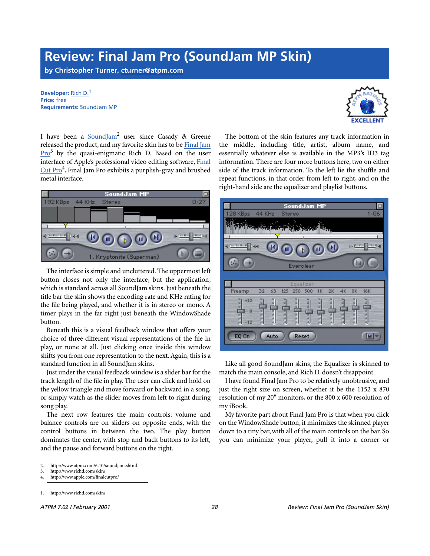# **Review: Final Jam Pro (SoundJam MP Skin)**

**by Christopher Turner, [cturner@atpm.com](mailto:cturner@atpm.com)**

**Developer:** [Rich D.](http://www.richd.com/skin/)<sup>1</sup> **Price:** free **Requirements:** SoundJam MP



I have been a **SoundJam<sup>2</sup>** user since Casady & Greene released the product, and my favorite skin has to be [Final Jam](http://www.richd.com/skin/) Pro<sup>3</sup> by the quasi-enigmatic Rich D. Based on the user interface of Apple's professional video editing software, [Final](http://www.apple.com/finalcutpro/) Cut Pro<sup>4</sup>, Final Jam Pro exhibits a purplish-gray and brushed metal interface.



The interface is simple and uncluttered. The uppermost left button closes not only the interface, but the application, which is standard across all SoundJam skins. Just beneath the title bar the skin shows the encoding rate and KHz rating for the file being played, and whether it is in stereo or mono. A timer plays in the far right just beneath the WindowShade button.

Beneath this is a visual feedback window that offers your choice of three different visual representations of the file in play, or none at all. Just clicking once inside this window shifts you from one representation to the next. Again, this is a standard function in all SoundJam skins.

Just under the visual feedback window is a slider bar for the track length of the file in play. The user can click and hold on the yellow triangle and move forward or backward in a song, or simply watch as the slider moves from left to right during song play.

The next row features the main controls: volume and balance controls are on sliders on opposite ends, with the control buttons in between the two. The play button dominates the center, with stop and back buttons to its left, and the pause and forward buttons on the right.

The bottom of the skin features any track information in the middle, including title, artist, album name, and essentially whatever else is available in the MP3's ID3 tag information. There are four more buttons here, two on either side of the track information. To the left lie the shuffle and repeat functions, in that order from left to right, and on the right-hand side are the equalizer and playlist buttons.



Like all good SoundJam skins, the Equalizer is skinned to match the main console, and Rich D. doesn't disappoint.

I have found Final Jam Pro to be relatively unobtrusive, and just the right size on screen, whether it be the 1152 x 870 resolution of my 20" monitors, or the 800 x 600 resolution of my iBook.

My favorite part about Final Jam Pro is that when you click on the WindowShade button, it minimizes the skinned player down to a tiny bar, with all of the main controls on the bar. So you can minimize your player, pull it into a corner or

<sup>2.</sup> http://www.atpm.com/6.10/soundjam.shtml

<sup>3.</sup> http://www.richd.com/skin/

<sup>4.</sup> http://www.apple.com/finalcutpro/

<sup>1.</sup> http://www.richd.com/skin/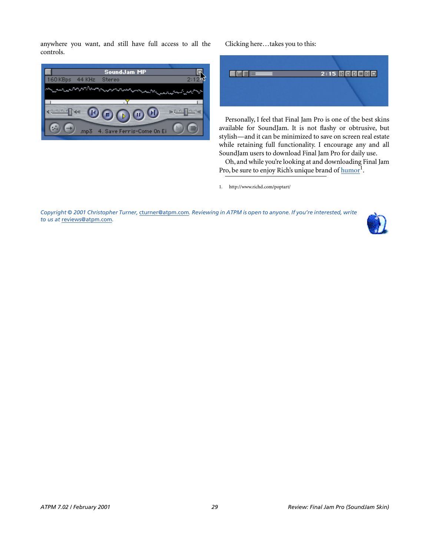anywhere you want, and still have full access to all the controls.



Clicking here…takes you to this:



Personally, I feel that Final Jam Pro is one of the best skins available for SoundJam. It is not flashy or obtrusive, but stylish—and it can be minimized to save on screen real estate while retaining full functionality. I encourage any and all SoundJam users to download Final Jam Pro for daily use.

Oh, and while you're looking at and downloading Final Jam Pro, be sure to enjoy Rich's unique brand of [humor](http://www.richd.com/poptart/)<sup>1</sup>.

1. http://www.richd.com/poptart/

*Copyright © 2001 Christopher Turner,* [cturner@atpm.com](mailto:cturner@atpm.com)*. Reviewing in ATPM is open to anyone. If you're interested, write to us at* [reviews@atpm.com](mailto:reviews@atpm.com)*.*

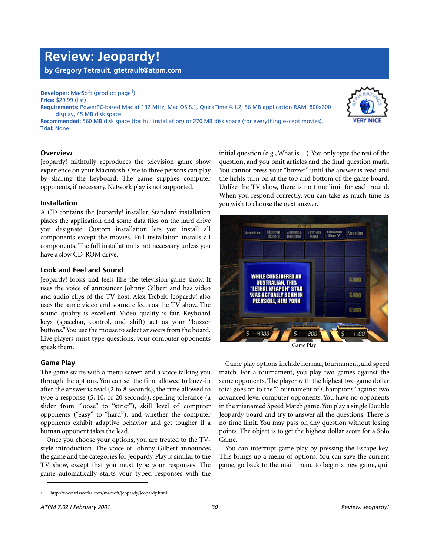# **Review: Jeopardy!**

**by Gregory Tetrault, [gtetrault@atpm.com](mailto:gtetrault@atpm.com)**

#### **Developer:** MacSoft [\(product page](http://www.wizworks.com/macsoft/jeopardy/jeopardy.html)<sup>1</sup>) **Price:** \$29.99 (list)

**Requirements:** PowerPC-based Mac at 132 MHz, Mac OS 8.1, QuickTime 4.1.2, 56 MB application RAM, 800x600 display, 45 MB disk space.

**Recommended:** 560 MB disk space (for full installation) or 270 MB disk space (for everything except movies). **Trial:** None

### **Overview**

Jeopardy! faithfully reproduces the television game show experience on your Macintosh. One to three persons can play by sharing the keyboard. The game supplies computer opponents, if necessary. Network play is not supported.

#### **Installation**

A CD contains the Jeopardy! installer. Standard installation places the application and some data files on the hard drive you designate. Custom installation lets you install all components except the movies. Full installation installs all components. The full installation is not necessary unless you have a slow CD-ROM drive.

### **Look and Feel and Sound**

Jeopardy! looks and feels like the television game show. It uses the voice of announcer Johnny Gilbert and has video and audio clips of the TV host, Alex Trebek. Jeopardy! also uses the same video and sound effects as the TV show. The sound quality is excellent. Video quality is fair. Keyboard keys (spacebar, control, and shift) act as your "buzzer buttons." You use the mouse to select answers from the board. Live players must type questions; your computer opponents speak them.

#### **Game Play**

The game starts with a menu screen and a voice talking you through the options. You can set the time allowed to buzz-in after the answer is read (2 to 8 seconds), the time allowed to type a response (5, 10, or 20 seconds), spelling tolerance (a slider from "loose" to "strict"), skill level of computer opponents ("easy" to "hard"), and whether the computer opponents exhibit adaptive behavior and get tougher if a human opponent takes the lead.

Once you choose your options, you are treated to the TVstyle introduction. The voice of Johnny Gilbert announces the game and the categories for Jeopardy. Play is similar to the TV show, except that you must type your responses. The game automatically starts your typed responses with the initial question (e.g., What is…). You only type the rest of the question, and you omit articles and the final question mark. You cannot press your "buzzer" until the answer is read and the lights turn on at the top and bottom of the game board. Unlike the TV show, there is no time limit for each round. When you respond correctly, you can take as much time as you wish to choose the next answer.



Game play options include normal, tournament, and speed match. For a tournament, you play two games against the same opponents. The player with the highest two game dollar total goes on to the "Tournament of Champions" against two advanced level computer opponents. You have no opponents in the misnamed Speed Match game. You play a single Double Jeopardy board and try to answer all the questions. There is no time limit. You may pass on any question without losing points. The object is to get the highest dollar score for a Solo Game.

You can interrupt game play by pressing the Escape key. This brings up a menu of options. You can save the current game, go back to the main menu to begin a new game, quit



<sup>1.</sup> http://www.wizworks.com/macsoft/jeopardy/jeopardy.html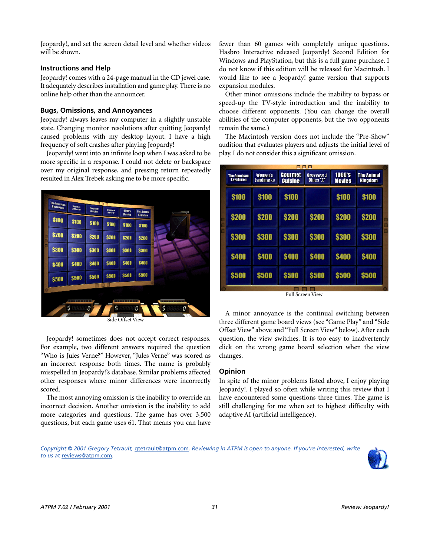Jeopardy!, and set the screen detail level and whether videos will be shown.

### **Instructions and Help**

Jeopardy! comes with a 24-page manual in the CD jewel case. It adequately describes installation and game play. There is no online help other than the announcer.

### **Bugs, Omissions, and Annoyances**

Jeopardy! always leaves my computer in a slightly unstable state. Changing monitor resolutions after quitting Jeopardy! caused problems with my desktop layout. I have a high frequency of soft crashes after playing Jeopardy!

Jeopardy! went into an infinite loop when I was asked to be more specific in a response. I could not delete or backspace over my original response, and pressing return repeatedly resulted in Alex Trebek asking me to be more specific.



Side Offset View

Jeopardy! sometimes does not accept correct responses. For example, two different answers required the question "Who is Jules Verne?" However, "Jules Verne" was scored as an incorrect response both times. The name is probably misspelled in Jeopardy!'s database. Similar problems affected other responses where minor differences were incorrectly scored.

The most annoying omission is the inability to override an incorrect decision. Another omission is the inability to add more categories and questions. The game has over 3,500 questions, but each game uses 61. That means you can have

fewer than 60 games with completely unique questions. Hasbro Interactive released Jeopardy! Second Edition for Windows and PlayStation, but this is a full game purchase. I do not know if this edition will be released for Macintosh. I would like to see a Jeopardy! game version that supports expansion modules.

Other minor omissions include the inability to bypass or speed-up the TV-style introduction and the inability to choose different opponents. (You can change the overall abilities of the computer opponents, but the two opponents remain the same.)

The Macintosh version does not include the "Pre-Show" audition that evaluates players and adjusts the initial level of play. I do not consider this a significant omission.

| 88 A B |                                   |                      |                                                                      |              |                                |                                     |   |  |  |
|--------|-----------------------------------|----------------------|----------------------------------------------------------------------|--------------|--------------------------------|-------------------------------------|---|--|--|
|        | The American<br><b>Revolution</b> | Women's<br>Landmarks | Gourmet<br><b>Crossword</b><br>Clues <sup>-1</sup><br><b>Cuisine</b> |              | <b>1990's</b><br><b>Movies</b> | <b>The Animal</b><br><b>Kingdom</b> |   |  |  |
|        | <b>\$100</b>                      | \$100                | \$100                                                                |              | \$100                          | \$100                               |   |  |  |
|        | \$200                             | <b>\$200</b>         | \$200                                                                | <b>\$200</b> | \$200                          | \$200                               | ī |  |  |
|        | <b>\$300</b>                      | \$300                | \$300                                                                | \$300        | <b>\$300</b>                   | \$300                               | п |  |  |
|        | <b>\$400</b>                      | <b>\$400</b>         | <b>S400</b>                                                          | <b>S400</b>  | <b>S400</b>                    | <b>\$400</b>                        |   |  |  |
|        | \$500                             | \$500                | \$500                                                                | \$500        | \$500                          | \$500                               |   |  |  |
|        |                                   |                      |                                                                      |              |                                |                                     |   |  |  |

Full Screen View

A minor annoyance is the continual switching between three different game board views (see "Game Play" and "Side Offset View" above and "Full Screen View" below). After each question, the view switches. It is too easy to inadvertently click on the wrong game board selection when the view changes.

# **Opinion**

In spite of the minor problems listed above, I enjoy playing Jeopardy!. I played so often while writing this review that I have encountered some questions three times. The game is still challenging for me when set to highest difficulty with adaptive AI (artificial intelligence).

*Copyright © 2001 Gregory Tetrault,* [gtetrault@atpm.com](mailto:gtetrault@atpm.com)*. Reviewing in ATPM is open to anyone. If you're interested, write to us at* [reviews@atpm.com](mailto:reviews@atpm.com)*.*

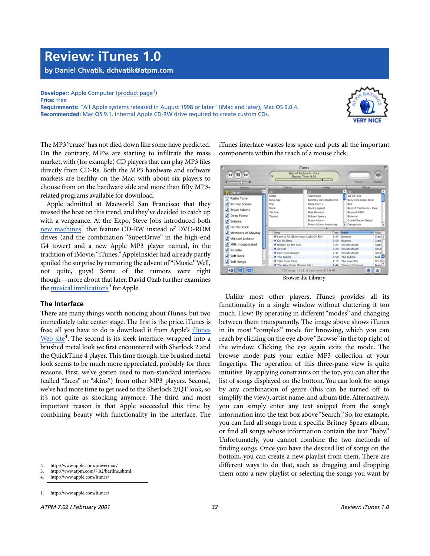# **Review: iTunes 1.0**

**by Daniel Chvatik, [dchvatik@atpm.com](mailto:dchvatik@atpm.com)**

**Developer:** Apple Computer [\(product page](http://www.apple.com/itunes/)<sup>1</sup>) **Price:** free

**Requirements:** "All Apple systems released in August 1998 or later" (iMac and later), Mac OS 9.0.4. **Recommended:** Mac OS 9.1, internal Apple CD-RW drive required to create custom CDs.



The MP3 "craze" has not died down like some have predicted. On the contrary, MP3s are starting to infiltrate the mass market, with (for example) CD players that can play MP3 files directly from CD-Rs. Both the MP3 hardware and software markets are healthy on the Mac, with about six players to choose from on the hardware side and more than fifty MP3 related programs available for download.

Apple admitted at Macworld San Francisco that they missed the boat on this trend, and they've decided to catch up with a vengeance. At the Expo, Steve Jobs introduced both [new machines](http://www.apple.com/powermac/)<sup>2</sup> that feature CD-RW instead of DVD-ROM drives (and the combination "SuperDrive" in the high-end G4 tower) and a new Apple MP3 player named, in the tradition of iMovie, "iTunes." AppleInsider had already partly spoiled the surprise by rumoring the advent of "iMusic." Well, not quite, guys! Some of the rumors were right though—more about that later. David Ozab further examines the [musical implications](http://www.atpm.com/7.02/barline.shtml)<sup>3</sup> for Apple.

# **The Interface**

There are many things worth noticing about iTunes, but two immediately take center stage. The first is the price. iTunes is free; all you have to do is download it from Apple's [iTunes](http://www.apple.com/itunes/)  $\overline{\text{Web site}}^4$  $\overline{\text{Web site}}^4$  $\overline{\text{Web site}}^4$ . The second is its sleek interface, wrapped into a brushed metal look we first encountered with Sherlock 2 and the QuickTime 4 player. This time though, the brushed metal look seems to be much more appreciated, probably for three reasons. First, we've gotten used to non-standard interfaces (called "faces" or "skins") from other MP3 players. Second, we've had more time to get used to the Sherlock 2/QT look, so it's not quite as shocking anymore. The third and most important reason is that Apple succeeded this time by combining beauty with functionality in the interface. The

iTunes interface wastes less space and puts all the important components within the reach of a mouse click.

|                                      |                                                    | <b>iTunes</b>                            |                                                                                                                        |                                      |                                           |  |
|--------------------------------------|----------------------------------------------------|------------------------------------------|------------------------------------------------------------------------------------------------------------------------|--------------------------------------|-------------------------------------------|--|
| ЪÞ<br>44                             | Best of Techno 6 - Pure<br>ö<br>Elapsed Time: 6:36 |                                          |                                                                                                                        |                                      | $\bullet$                                 |  |
|                                      |                                                    |                                          |                                                                                                                        | Search                               | Browse                                    |  |
| Source                               | Genre<br>Artist                                    |                                          |                                                                                                                        | Album                                |                                           |  |
| ٠<br>Library                         | AII                                                | AII                                      |                                                                                                                        | AI<br>٠                              | ۸                                         |  |
| Radio Tuner                          | Metal<br>New Age                                   | Ascension                                | Bad Boy Joe's Radio Edit<br><b>Barry Harris</b><br><b>Black Legend</b><br><b>Blue Harvest</b><br><b>Britney Spears</b> |                                      | 18 Til I Die<br><b>Baby One More Time</b> |  |
| <b>Britney Spears</b><br>Bryan Adams | Pop<br>Rock<br>Techno                              |                                          |                                                                                                                        |                                      | Best of Techno 6 - Pure                   |  |
| Deep Forest                          | Trance                                             | Bryan Adams                              |                                                                                                                        |                                      |                                           |  |
| Enigma<br>Harder Rock                |                                                    | Bryan Adams featuring                    |                                                                                                                        | Crash! Boom! Bang!<br>Dangerous<br>٠ |                                           |  |
|                                      |                                                    |                                          |                                                                                                                        | Artist                               | Albu                                      |  |
| Members of Mayday                    | Sono<br>C Love Is All (Shine Your Light On Me)     |                                          | Time<br>6:44                                                                                                           | Roxette                              | Crash 4                                   |  |
| Michael Jackson                      | Co To Sleep                                        | 3:59                                     |                                                                                                                        | Roxette                              | Crash                                     |  |
| Milk Incorporated                    | Walkin' on the Sun                                 |                                          | 3:23                                                                                                                   | Smash Mouth                          | Fush                                      |  |
|                                      | M All Star                                         |                                          | 3:20                                                                                                                   | Smash Mouth                          | [Smar]                                    |  |
| Roxette                              | Can't Get Enough                                   |                                          | 2:31                                                                                                                   | Smash Mouth                          | [Smar                                     |  |
| Soft Rock                            | The Bubble                                         |                                          | 7:58                                                                                                                   | The Bubble                           | <b>Best</b> of                            |  |
| Soft Songs                           | Take Your Time                                     |                                          | 4:15                                                                                                                   | The Love Bite                        | N.Y.C.                                    |  |
| ٠                                    | The Way Home (Promo Edit)                          |                                          |                                                                                                                        | 4:44 Trance II Control               | Bevore."                                  |  |
|                                      |                                                    | 155 songs. 11:28:12 total time, 815.6 MB |                                                                                                                        |                                      |                                           |  |
|                                      |                                                    | Rrowce the Library                       |                                                                                                                        |                                      |                                           |  |

Browse the Library

Unlike most other players, iTunes provides all its functionality in a single window without cluttering it too much. How? By operating in different "modes" and changing between them transparently. The image above shows iTunes in its most "complex" mode for browsing, which you can reach by clicking on the eye above "Browse" in the top right of the window. Clicking the eye again exits the mode. The browse mode puts your entire MP3 collection at your fingertips. The operation of this three-pane view is quite intuitive. By applying constraints on the top, you can alter the list of songs displayed on the bottom. You can look for songs by any combination of genre (this can be turned off to simplify the view), artist name, and album title. Alternatively, you can simply enter any text snippet from the song's information into the text box above "Search." So, for example, you can find all songs from a specific Britney Spears album, or find all songs whose information contain the text "baby." Unfortunately, you cannot combine the two methods of finding songs. Once you have the desired list of songs on the bottom, you can create a new playlist from them. There are different ways to do that, such as dragging and dropping them onto a new playlist or selecting the songs you want by

<sup>2.</sup> http://www.apple.com/powermac/

<sup>3.</sup> http://www.atpm.com/7.02/barline.shtml

<sup>4.</sup> http://www.apple.com/itunes/

<sup>1.</sup> http://www.apple.com/itunes/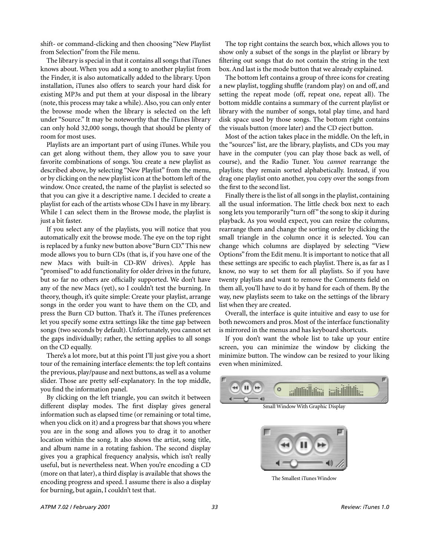shift- or command-clicking and then choosing "New Playlist from Selection" from the File menu.

The library is special in that it contains all songs that iTunes knows about. When you add a song to another playlist from the Finder, it is also automatically added to the library. Upon installation, iTunes also offers to search your hard disk for existing MP3s and put them at your disposal in the library (note, this process may take a while). Also, you can only enter the browse mode when the library is selected on the left under "Source." It may be noteworthy that the iTunes library can only hold 32,000 songs, though that should be plenty of room for most uses.

Playlists are an important part of using iTunes. While you can get along without them, they allow you to save your favorite combinations of songs. You create a new playlist as described above, by selecting "New Playlist" from the menu, or by clicking on the new playlist icon at the bottom left of the window. Once created, the name of the playlist is selected so that you can give it a descriptive name. I decided to create a playlist for each of the artists whose CDs I have in my library. While I can select them in the Browse mode, the playlist is just a bit faster.

If you select any of the playlists, you will notice that you automatically exit the browse mode. The eye on the top right is replaced by a funky new button above "Burn CD." This new mode allows you to burn CDs (that is, if you have one of the new Macs with built-in CD-RW drives). Apple has "promised" to add functionality for older drives in the future, but so far no others are officially supported. We don't have any of the new Macs (yet), so I couldn't test the burning. In theory, though, it's quite simple: Create your playlist, arrange songs in the order you want to have them on the CD, and press the Burn CD button. That's it. The iTunes preferences let you specify some extra settings like the time gap between songs (two seconds by default). Unfortunately, you cannot set the gaps individually; rather, the setting applies to all songs on the CD equally.

There's a lot more, but at this point I'll just give you a short tour of the remaining interface elements: the top left contains the previous, play/pause and next buttons, as well as a volume slider. Those are pretty self-explanatory. In the top middle, you find the information panel.

By clicking on the left triangle, you can switch it between different display modes. The first display gives general information such as elapsed time (or remaining or total time, when you click on it) and a progress bar that shows you where you are in the song and allows you to drag it to another location within the song. It also shows the artist, song title, and album name in a rotating fashion. The second display gives you a graphical frequency analysis, which isn't really useful, but is nevertheless neat. When you're encoding a CD (more on that later), a third display is available that shows the encoding progress and speed. I assume there is also a display for burning, but again, I couldn't test that.

The top right contains the search box, which allows you to show only a subset of the songs in the playlist or library by filtering out songs that do not contain the string in the text box. And last is the mode button that we already explained.

The bottom left contains a group of three icons for creating a new playlist, toggling shuffle (random play) on and off, and setting the repeat mode (off, repeat one, repeat all). The bottom middle contains a summary of the current playlist or library with the number of songs, total play time, and hard disk space used by those songs. The bottom right contains the visuals button (more later) and the CD eject button.

Most of the action takes place in the middle. On the left, in the "sources" list, are the library, playlists, and CDs you may have in the computer (you can play those back as well, of course), and the Radio Tuner. You *cannot* rearrange the playlists; they remain sorted alphabetically. Instead, if you drag one playlist onto another, you copy over the songs from the first to the second list.

Finally there is the list of all songs in the playlist, containing all the usual information. The little check box next to each song lets you temporarily "turn off" the song to skip it during playback. As you would expect, you can resize the columns, rearrange them and change the sorting order by clicking the small triangle in the column once it is selected. You can change which columns are displayed by selecting "View Options" from the Edit menu. It is important to notice that all these settings are specific to each playlist. There is, as far as I know, no way to set them for all playlists. So if you have twenty playlists and want to remove the Comments field on them all, you'll have to do it by hand for each of them. By the way, new playlists seem to take on the settings of the library list when they are created.

Overall, the interface is quite intuitive and easy to use for both newcomers and pros. Most of the interface functionality is mirrored in the menus and has keyboard shortcuts.

If you don't want the whole list to take up your entire screen, you can minimize the window by clicking the minimize button. The window can be resized to your liking even when minimized.



Small Window With Graphic Display



The Smallest iTunes Window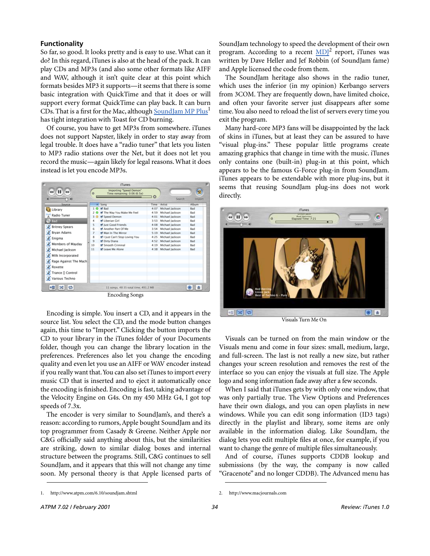#### **Functionality**

So far, so good. It looks pretty and is easy to use. What can it do? In this regard, iTunes is also at the head of the pack. It can play CDs and MP3s (and also some other formats like AIFF and WAV, although it isn't quite clear at this point which formats besides MP3 it supports—it seems that there is some basic integration with QuickTime and that it does or will support every format QuickTime can play back. It can burn CDs. That is a first for the Mac, although [SoundJam MP Plus](http://www.atpm.com/6.10/soundjam.shtml)<sup>1</sup> has tight integration with Toast for CD burning.

Of course, you have to get MP3s from somewhere. iTunes does not support Napster, likely in order to stay away from legal trouble. It does have a "radio tuner" that lets you listen to MP3 radio stations over the Net, but it does not let you record the music—again likely for legal reasons. What it does instead is let you encode MP3s.



Encoding is simple. You insert a CD, and it appears in the source list. You select the CD, and the mode button changes again, this time to "Import." Clicking the button imports the CD to your library in the iTunes folder of your Documents folder, though you can change the library location in the preferences. Preferences also let you change the encoding quality and even let you use an AIFF or WAV encoder instead if you really want that. You can also set iTunes to import every music CD that is inserted and to eject it automatically once the encoding is finished. Encoding is fast, taking advantage of the Velocity Engine on G4s. On my 450 MHz G4, I got top speeds of 7.3x.

The encoder is very similar to SoundJam's, and there's a reason: according to rumors, Apple bought SoundJam and its top programmer from Casady & Greene. Neither Apple nor C&G officially said anything about this, but the similarities are striking, down to similar dialog boxes and internal structure between the programs. Still, C&G continues to sell SoundJam, and it appears that this will not change any time soon. My personal theory is that Apple licensed parts of SoundJam technology to speed the development of their own program. According to a recent MDI<sup>2</sup> report, iTunes was written by Dave Heller and Jef Robbin (of SoundJam fame) and Apple licensed the code from them.

The SoundJam heritage also shows in the radio tuner, which uses the inferior (in my opinion) Kerbango servers from 3COM. They are frequently down, have limited choice, and often your favorite server just disappears after some time. You also need to reload the list of servers every time you exit the program.

Many hard-core MP3 fans will be disappointed by the lack of skins in iTunes, but at least they can be assured to have "visual plug-ins." These popular little programs create amazing graphics that change in time with the music. iTunes only contains one (built-in) plug-in at this point, which appears to be the famous G-Force plug-in from SoundJam. iTunes appears to be extendable with more plug-ins, but it seems that reusing SoundJam plug-ins does not work directly.



Visuals Turn Me On

Visuals can be turned on from the main window or the Visuals menu and come in four sizes: small, medium, large, and full-screen. The last is not really a new size, but rather changes your screen resolution and removes the rest of the interface so you can enjoy the visuals at full size. The Apple logo and song information fade away after a few seconds.

When I said that iTunes gets by with only one window, that was only partially true. The View Options and Preferences have their own dialogs, and you can open playlists in new windows. While you can edit song information (ID3 tags) directly in the playlist and library, some items are only available in the information dialog. Like SoundJam, the dialog lets you edit multiple files at once, for example, if you want to change the genre of multiple files simultaneously.

And of course, iTunes supports CDDB lookup and submissions (by the way, the company is now called "Gracenote" and no longer CDDB). The Advanced menu has

<sup>1.</sup> http://www.atpm.com/6.10/soundjam.shtml

<sup>2.</sup> http://www.macjournals.com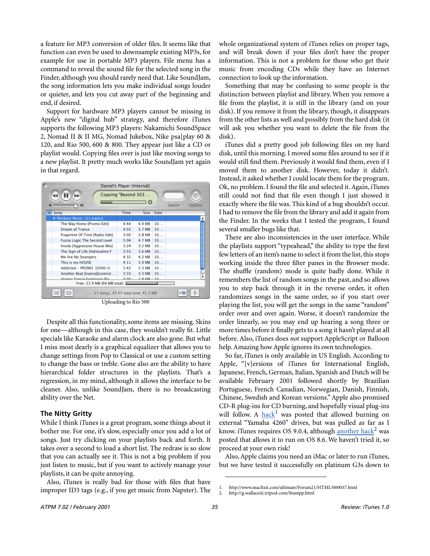a feature for MP3 conversion of older files. It seems like that function can even be used to downsample existing MP3s, for example for use in portable MP3 players. File menu has a command to reveal the sound file for the selected song in the Finder, although you should rarely need that. Like SoundJam, the song information lets you make individual songs louder or quieter, and lets you cut away part of the beginning and end, if desired.

Support for hardware MP3 players cannot be missing in Apple's new "digital hub" strategy, and therefore iTunes supports the following MP3 players: Nakamichi SoundSpace 2, Nomad II & II MG, Nomad Jukebox, Nike psa[play 60 & 120, and Rio 500, 600 & 800. They appear just like a CD or playlist would. Copying files over is just like moving songs to a new playlist. It pretty much works like SoundJam yet again in that regard.

|                                           | Daniel's Player (Internal) |                            |                |        |         |
|-------------------------------------------|----------------------------|----------------------------|----------------|--------|---------|
|                                           | Copying "Beyond 303        | $\boldsymbol{\omega}$      |                | Search | Options |
| Song                                      | Time                       |                            | Size Date      |        |         |
| Workout Music (11 tracks)                 |                            |                            |                |        |         |
| The Way Home [Promo Edit]                 | $4 - 44$                   | 4.4 MB                     | 10             |        |         |
| Dream of Trance                           | 4:02<br>3:00<br>5:04       | 3.7 MB<br>2.8 MB<br>4.7 MB | 10<br>10<br>10 |        |         |
| Fragment Of Time [Radio Edit].            |                            |                            |                |        |         |
| Fuzzy Logic The Second Level              |                            |                            |                |        |         |
| Inside [Aggressive House Mix]             | 3:24                       | 3.2 MB                     | 10             |        |         |
| The Sign of Life [Adrenaline F            | 3:55                       | 3.6 MB                     | 10             |        |         |
| We Are No Strangers                       | 4:32                       | 4.2 MB                     | 10             |        |         |
| This is my HOUSE                          | 4:11                       | 3.9 MB                     | 10             |        |         |
| Addicted - PROMO [2000-0                  | 5:42                       | 5.3 MB                     | 10             |        |         |
| Another Beat [trance]]control             | 3:33                       | 3.3MB                      | 10             |        |         |
| Atomic Dance Explosion IPa                | $3 - 0.0$                  | $2.8MB$ 10                 |                |        |         |
| Free: 21.9 MB (64 MB total)               |                            |                            |                |        |         |
| ЭĠ<br>11 songs, 45:07 total time, 41.3 MB |                            |                            |                |        |         |

Uploading to Rio 500

Despite all this functionality, some items are missing. Skins for one—although in this case, they wouldn't really fit. Little specials like Karaoke and alarm clock are also gone. But what I miss most dearly is a graphical equalizer that allows you to change settings from Pop to Classical or use a custom setting to change the bass or treble. Gone also are the ability to have hierarchical folder structures in the playlists. That's a regression, in my mind, although it allows the interface to be cleaner. Also, unlike SoundJam, there is no broadcasting ability over the Net.

# **The Nitty Gritty**

While I think iTunes is a great program, some things about it bother me. For one, it's slow, especially once you add a lot of songs. Just try clicking on your playlists back and forth. It takes over a second to load a short list. The redraw is so slow that you can actually see it. This is not a big problem if you just listen to music, but if you want to actively manage your playlists, it can be quite annoying.

Also, iTunes is really bad for those with files that have improper ID3 tags (e.g., if you get music from Napster). The whole organizational system of iTunes relies on proper tags, and will break down if your files don't have the proper information. This is not a problem for those who get their music from encoding CDs while they have an Internet connection to look up the information.

Something that may be confusing to some people is the distinction between playlist and library. When you remove a file from the playlist, it is still in the library (and on your disk). If you remove it from the library, though, it disappears from the other lists as well and possibly from the hard disk (it will ask you whether you want to delete the file from the disk).

iTunes did a pretty good job following files on my hard disk, until this morning. I moved some files around to see if it would still find them. Previously it would find them, even if I moved them to another disk. However, today it didn't. Instead, it asked whether I could locate them for the program. Ok, no problem. I found the file and selected it. Again, iTunes still could not find that file even though I just showed it exactly where the file was. This kind of a bug shouldn't occur. I had to remove the file from the library and add it again from the Finder. In the weeks that I tested the program, I found several smaller bugs like that.

There are also inconsistencies in the user interface. While the playlists support "typeahead," the ability to type the first few letters of an item's name to select it from the list, this stops working inside the three filter panes in the Browser mode. The shuffle (random) mode is quite badly done. While it remembers the list of random songs in the past, and so allows you to step back through it in the reverse order, it often randomizes songs in the same order, so if you start over playing the list, you will get the songs in the same "random" order over and over again. Worse, it doesn't randomize the order linearly, so you may end up hearing a song three or more times before it finally gets to a song it hasn't played at all before. Also, iTunes does *not* support AppleScript or Balloon help. Amazing how Apple ignores its own technologies.

So far, iTunes is only available in US English. According to Apple, "[v]ersions of iTunes for International English, Japanese, French, German, Italian, Spanish and Dutch will be available February 2001 followed shortly by Brazilian Portuguese, French Canadian, Norwegian, Danish, Finnish, Chinese, Swedish and Korean versions." Apple also promised CD-R plug-ins for CD burning, and hopefully visual plug-ins will follow. A [hack](http://www.macfixit.com/ultimate/Forum21/HTML/000037.html)<sup>1</sup> was posted that allowed burning on external "Yamaha 4260" drives, but was pulled as far as I know. iTunes requires OS 9.0.4, although [another hack](http://g.wallaceiii.tripod.com/Stumpp.html)<sup>2</sup> was posted that allows it to run on OS 8.6. We haven't tried it, so proceed at your own risk!

Also, Apple claims you need an iMac or later to run iTunes, but we have tested it successfully on platinum G3s down to

<sup>1.</sup> http://www.macfixit.com/ultimate/Forum21/HTML/000037.html<br>2. http://g.wallaceiii.tripod.com/Stumpp.html

<sup>2.</sup> http://g.wallaceiii.tripod.com/Stumpp.html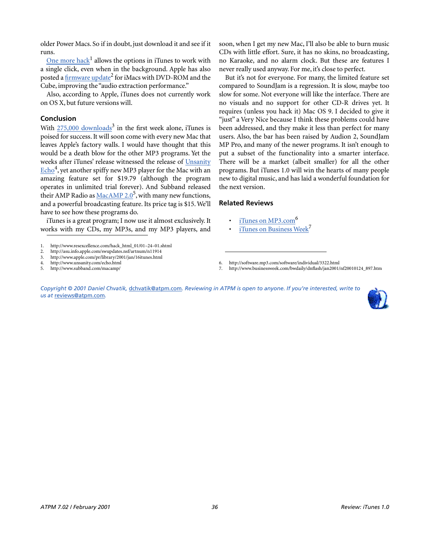older Power Macs. So if in doubt, just download it and see if it runs.

<u>[One more hack](http://www.resexcellence.com/hack_html_01/01�24�01.shtml)</u><sup>1</sup> allows the options in iTunes to work with a single click, even when in the background. Apple has also posted a firmware update<sup>2</sup> for iMacs with DVD-ROM and the Cube, improving the "audio extraction performance."

Also, according to Apple, iTunes does not currently work on OS X, but future versions will.

# **Conclusion**

With  $275,000$  downloads<sup>3</sup> in the first week alone, iTunes is poised for success. It will soon come with every new Mac that leaves Apple's factory walls. I would have thought that this would be a death blow for the other MP3 programs. Yet the weeks after iTunes' release witnessed the release of [Unsanity](http://www.unsanity.com/echo.html)  $\underline{\mathrm{Echo}}^4$ , yet another spiffy new MP3 player for the Mac with an amazing feature set for \$19.79 (although the program operates in unlimited trial forever). And Subband released their AMP Radio as [MacAMP 2.0](http://www.subband.com/macamp/)<sup>5</sup>, with many new functions, and a powerful broadcasting feature. Its price tag is \$15. We'll have to see how these programs do.

iTunes is a great program; I now use it almost exclusively. It works with my CDs, my MP3s, and my MP3 players, and

- 2. http://asu.info.apple.com/swupdates.nsf/artnum/n11914<br>3. http://www.apple.com/pr/library/2001/jan/16itunes.html
- 3. http://www.apple.com/pr/library/2001/jan/16itunes.html

soon, when I get my new Mac, I'll also be able to burn music CDs with little effort. Sure, it has no skins, no broadcasting, no Karaoke, and no alarm clock. But these are features I never really used anyway. For me, it's close to perfect.

But it's not for everyone. For many, the limited feature set compared to SoundJam is a regression. It is slow, maybe too slow for some. Not everyone will like the interface. There are no visuals and no support for other CD-R drives yet. It requires (unless you hack it) Mac OS 9. I decided to give it "just" a Very Nice because I think these problems could have been addressed, and they make it less than perfect for many users. Also, the bar has been raised by Audion 2, SoundJam MP Pro, and many of the newer programs. It isn't enough to put a subset of the functionality into a smarter interface. There will be a market (albeit smaller) for all the other programs. But iTunes 1.0 will win the hearts of many people new to digital music, and has laid a wonderful foundation for the next version.

### **Related Reviews**

- iTunes on MP3.com<sup>6</sup>
- [iTunes on Business Week](http://www.businessweek.com/bwdaily/dnflash/jan2001/nf20010124_897.htm)<sup>7</sup>
- 6. http://software.mp3.com/software/individual/3322.html
- 7. http://www.businessweek.com/bwdaily/dnflash/jan2001/nf20010124\_897.htm

*Copyright © 2001 Daniel Chvatik,* [dchvatik@atpm.com](mailto:dchvatik@atpm.com)*. Reviewing in ATPM is open to anyone. If you're interested, write to us at* [reviews@atpm.com](mailto:reviews@atpm.com)*.*



<sup>1.</sup> http://www.resexcellence.com/hack\_html\_01/01–24–01.shtml

<sup>4.</sup> http://www.unsanity.com/echo.html

<sup>5.</sup> http://www.subband.com/macamp/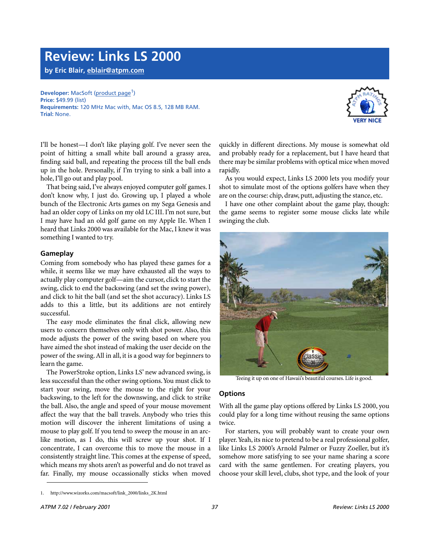# **Review: Links LS 2000**

**by Eric Blair, [eblair@atpm.com](mailto:eblair@atpm.com)**

# **Developer:** MacSoft [\(product page](http://www.wizorks.com/macsoft/link_2000/links_2K.html)<sup>1</sup>) **Price:** \$49.99 (list)

**Requirements:** 120 MHz Mac with, Mac OS 8.5, 128 MB RAM. **Trial:** None.



I'll be honest—I don't like playing golf. I've never seen the point of hitting a small white ball around a grassy area, finding said ball, and repeating the process till the ball ends up in the hole. Personally, if I'm trying to sink a ball into a hole, I'll go out and play pool.

That being said, I've always enjoyed computer golf games. I don't know why, I just do. Growing up, I played a whole bunch of the Electronic Arts games on my Sega Genesis and had an older copy of Links on my old LC III. I'm not sure, but I may have had an old golf game on my Apple IIe. When I heard that Links 2000 was available for the Mac, I knew it was something I wanted to try.

# **Gameplay**

Coming from somebody who has played these games for a while, it seems like we may have exhausted all the ways to actually play computer golf—aim the cursor, click to start the swing, click to end the backswing (and set the swing power), and click to hit the ball (and set the shot accuracy). Links LS adds to this a little, but its additions are not entirely successful.

The easy mode eliminates the final click, allowing new users to concern themselves only with shot power. Also, this mode adjusts the power of the swing based on where you have aimed the shot instead of making the user decide on the power of the swing. All in all, it is a good way for beginners to learn the game.

The PowerStroke option, Links LS' new advanced swing, is less successful than the other swing options. You must click to start your swing, move the mouse to the right for your backswing, to the left for the downswing, and click to strike the ball. Also, the angle and speed of your mouse movement affect the way that the ball travels. Anybody who tries this motion will discover the inherent limitations of using a mouse to play golf. If you tend to sweep the mouse in an arclike motion, as I do, this will screw up your shot. If I concentrate, I can overcome this to move the mouse in a consistently straight line. This comes at the expense of speed, which means my shots aren't as powerful and do not travel as far. Finally, my mouse occassionally sticks when moved

quickly in different directions. My mouse is somewhat old and probably ready for a replacement, but I have heard that there may be similar problems with optical mice when moved rapidly.

As you would expect, Links LS 2000 lets you modify your shot to simulate most of the options golfers have when they are on the course: chip, draw, putt, adjusting the stance, etc.

I have one other complaint about the game play, though: the game seems to register some mouse clicks late while swinging the club.



Teeing it up on one of Hawaii's beautiful courses. Life is good.

#### **Options**

With all the game play options offered by Links LS 2000, you could play for a long time without reusing the same options twice.

For starters, you will probably want to create your own player. Yeah, its nice to pretend to be a real professional golfer, like Links LS 2000's Arnold Palmer or Fuzzy Zoeller, but it's somehow more satisfying to see your name sharing a score card with the same gentlemen. For creating players, you choose your skill level, clubs, shot type, and the look of your

<sup>1.</sup> http://www.wizorks.com/macsoft/link\_2000/links\_2K.html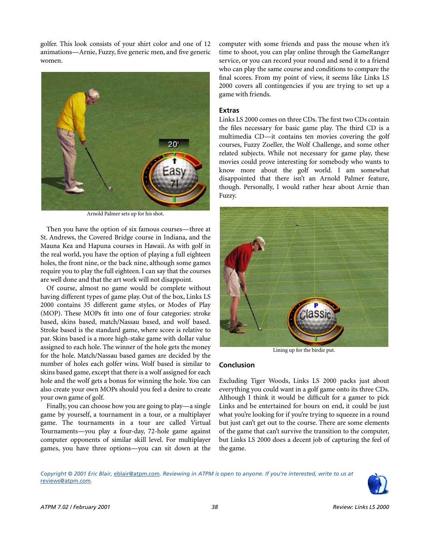golfer. This look consists of your shirt color and one of 12 animations—Arnie, Fuzzy, five generic men, and five generic women.



Arnold Palmer sets up for his shot.

Then you have the option of six famous courses—three at St. Andrews, the Covered Bridge course in Indiana, and the Mauna Kea and Hapuna courses in Hawaii. As with golf in the real world, you have the option of playing a full eighteen holes, the front nine, or the back nine, although some games require you to play the full eighteen. I can say that the courses are well done and that the art work will not disappoint.

Of course, almost no game would be complete without having different types of game play. Out of the box, Links LS 2000 contains 35 different game styles, or Modes of Play (MOP). These MOPs fit into one of four categories: stroke based, skins based, match/Nassau based, and wolf based. Stroke based is the standard game, where score is relative to par. Skins based is a more high-stake game with dollar value assigned to each hole. The winner of the hole gets the money for the hole. Match/Nassau based games are decided by the number of holes each golfer wins. Wolf based is similar to skins based game, except that there is a wolf assigned for each hole and the wolf gets a bonus for winning the hole. You can also create your own MOPs should you feel a desire to create your own game of golf.

Finally, you can choose how you are going to play—a single game by yourself, a tournament in a tour, or a multiplayer game. The tournaments in a tour are called Virtual Tournaments—you play a four-day, 72-hole game against computer opponents of similar skill level. For multiplayer games, you have three options—you can sit down at the

computer with some friends and pass the mouse when it's time to shoot, you can play online through the GameRanger service, or you can record your round and send it to a friend who can play the same course and conditions to compare the final scores. From my point of view, it seems like Links LS 2000 covers all contingencies if you are trying to set up a game with friends.

#### **Extras**

Links LS 2000 comes on three CDs. The first two CDs contain the files necessary for basic game play. The third CD is a multimedia CD—it contains ten movies covering the golf courses, Fuzzy Zoeller, the Wolf Challenge, and some other related subjects. While not necessary for game play, these movies could prove interesting for somebody who wants to know more about the golf world. I am somewhat disappointed that there isn't an Arnold Palmer feature, though. Personally, I would rather hear about Arnie than Fuzzy.



Lining up for the birdie put.

#### **Conclusion**

Excluding Tiger Woods, Links LS 2000 packs just about everything you could want in a golf game onto its three CDs. Although I think it would be difficult for a gamer to pick Links and be entertained for hours on end, it could be just what you're looking for if you're trying to squeeze in a round but just can't get out to the course. There are some elements of the game that can't survive the transition to the computer, but Links LS 2000 does a decent job of capturing the feel of the game.

*Copyright © 2001 Eric Blair,* [eblair@atpm.com](mailto:eblair@atpm.com)*. Reviewing in ATPM is open to anyone. If you're interested, write to us at*  [reviews@atpm.com](mailto:reviews@atpm.com)*.*

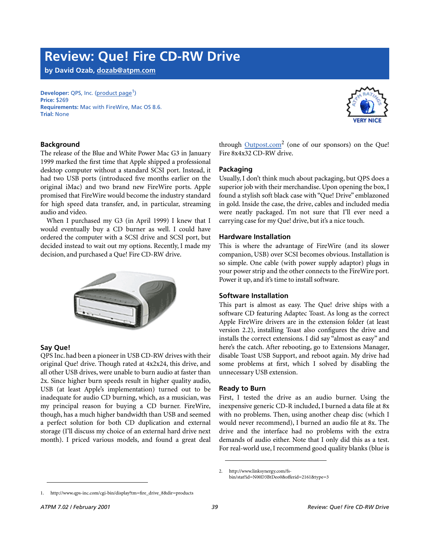# **Review: Que! Fire CD-RW Drive**

**by David Ozab, [dozab@atpm.com](mailto:dozab@atpm.com)**

#### **Developer:** QPS, Inc. ([product page](http://www.qps-inc.com/cgi-bin/display?tm=fire_drive_8&dir=products)<sup>1</sup>) **Price:** \$269 **Requirements:** Mac with FireWire, Mac OS 8.6. **Trial:** None



# **Background**

The release of the Blue and White Power Mac G3 in January 1999 marked the first time that Apple shipped a professional desktop computer without a standard SCSI port. Instead, it had two USB ports (introduced five months earlier on the original iMac) and two brand new FireWire ports. Apple promised that FireWire would become the industry standard for high speed data transfer, and, in particular, streaming audio and video.

When I purchased my G3 (in April 1999) I knew that I would eventually buy a CD burner as well. I could have ordered the computer with a SCSI drive and SCSI port, but decided instead to wait out my options. Recently, I made my decision, and purchased a Que! Fire CD-RW drive.



# **Say Que!**

QPS Inc. had been a pioneer in USB CD-RW drives with their original Que! drive. Though rated at 4x2x24, this drive, and all other USB drives, were unable to burn audio at faster than 2x. Since higher burn speeds result in higher quality audio, USB (at least Apple's implementation) turned out to be inadequate for audio CD burning, which, as a musician, was my principal reason for buying a CD burner. FireWire, though, has a much higher bandwidth than USB and seemed a perfect solution for both CD duplication and external storage (I'll discuss my choice of an external hard drive next month). I priced various models, and found a great deal

through **Outpost.com**<sup>2</sup> (one of our sponsors) on the Que! Fire 8x4x32 CD-RW drive.

### **Packaging**

Usually, I don't think much about packaging, but QPS does a superior job with their merchandise. Upon opening the box, I found a stylish soft black case with "Que! Drive" emblazoned in gold. Inside the case, the drive, cables and included media were neatly packaged. I'm not sure that I'll ever need a carrying case for my Que! drive, but it's a nice touch.

### **Hardware Installation**

This is where the advantage of FireWire (and its slower companion, USB) over SCSI becomes obvious. Installation is so simple. One cable (with power supply adaptor) plugs in your power strip and the other connects to the FireWire port. Power it up, and it's time to install software.

# **Software Installation**

This part is almost as easy. The Que! drive ships with a software CD featuring Adaptec Toast. As long as the correct Apple FireWire drivers are in the extension folder (at least version 2.2), installing Toast also configures the drive and installs the correct extensions. I did say "almost as easy" and here's the catch. After rebooting, go to Extensions Manager, disable Toast USB Support, and reboot again. My drive had some problems at first, which I solved by disabling the unnecessary USB extension.

#### **Ready to Burn**

First, I tested the drive as an audio burner. Using the inexpensive generic CD-R included, I burned a data file at 8x with no problems. Then, using another cheap disc (which I would never recommend), I burned an audio file at 8x. The drive and the interface had no problems with the extra demands of audio either. Note that I only did this as a test. For real-world use, I recommend good quality blanks (blue is

<sup>2.</sup> http://www.linksynergy.com/fsbin/stat?id=N00D3BtDeo0&offerid=2161&type=3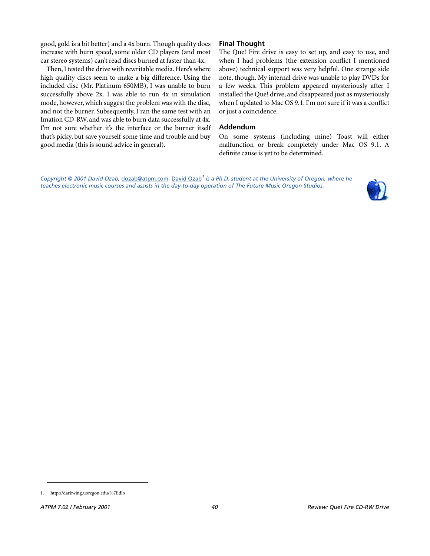good, gold is a bit better) and a 4x burn. Though quality does increase with burn speed, some older CD players (and most car stereo systems) can't read discs burned at faster than 4x.

Then, I tested the drive with rewritable media. Here's where high quality discs seem to make a big difference. Using the included disc (Mr. Platinum 650MB), I was unable to burn successfully above 2x. I was able to run 4x in simulation mode, however, which suggest the problem was with the disc, and not the burner. Subsequently, I ran the same test with an Imation CD-RW, and was able to burn data successfully at 4x. I'm not sure whether it's the interface or the burner itself that's picky, but save yourself some time and trouble and buy good media (this is sound advice in general).

# **Final Thought**

The Que! Fire drive is easy to set up, and easy to use, and when I had problems (the extension conflict I mentioned above) technical support was very helpful. One strange side note, though. My internal drive was unable to play DVDs for a few weeks. This problem appeared mysteriously after I installed the Que! drive, and disappeared just as mysteriously when I updated to Mac OS 9.1. I'm not sure if it was a conflict or just a coincidence.

#### **Addendum**

On some systems (including mine) Toast will either malfunction or break completely under Mac OS 9.1. A definite cause is yet to be determined.

*Copyright © 2001 David Ozab,* [dozab@atpm.com](mailto:dozab@atpm.com)*.* [David Ozab](http://darkwing.uoregon.edu/%7Edlo)*1 is a Ph.D. student at the University of Oregon, where he teaches electronic music courses and assists in the day-to-day operation of The Future Music Oregon Studios.*



<sup>1.</sup> http://darkwing.uoregon.edu/%7Edlo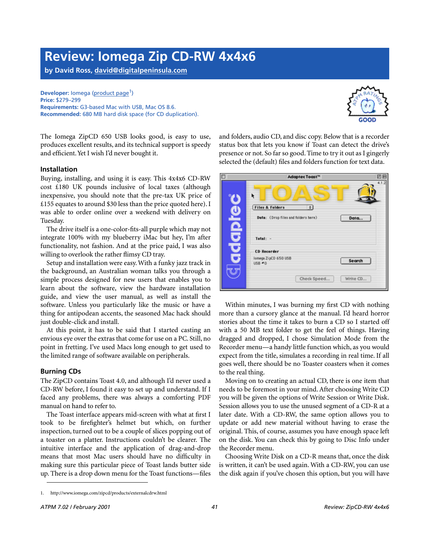# **Review: Iomega Zip CD-RW 4x4x6**

**by David Ross, [david@digitalpeninsula.com](mailto:david@digitalpeninsula.com)**

**Developer:** lomega ([product page](http://www.iomega.com/zipcd/products/externalcdrw.html)<sup>1</sup>) **Price:** \$279–299 **Requirements:** G3-based Mac with USB, Mac OS 8.6. **Recommended:** 680 MB hard disk space (for CD duplication).



The Iomega ZipCD 650 USB looks good, is easy to use, produces excellent results, and its technical support is speedy and efficient. Yet I wish I'd never bought it.

#### **Installation**

Buying, installing, and using it is easy. This 4x4x6 CD-RW cost £180 UK pounds inclusive of local taxes (although inexpensive, you should note that the pre-tax UK price of £155 equates to around \$30 less than the price quoted here). I was able to order online over a weekend with delivery on Tuesday.

The drive itself is a one-color-fits-all purple which may not integrate 100% with my blueberry iMac but hey, I'm after functionality, not fashion. And at the price paid, I was also willing to overlook the rather flimsy CD tray.

Setup and installation were easy. With a funky jazz track in the background, an Australian woman talks you through a simple process designed for new users that enables you to learn about the software, view the hardware installation guide, and view the user manual, as well as install the software. Unless you particularly like the music or have a thing for antipodean accents, the seasoned Mac hack should just double-click and install.

At this point, it has to be said that I started casting an envious eye over the extras that come for use on a PC. Still, no point in fretting. I've used Macs long enough to get used to the limited range of software available on peripherals.

# **Burning CDs**

The ZipCD contains Toast 4.0, and although I'd never used a CD-RW before, I found it easy to set up and understand. If I faced any problems, there was always a comforting PDF manual on hand to refer to.

The Toast interface appears mid-screen with what at first I took to be firefighter's helmet but which, on further inspection, turned out to be a couple of slices popping out of a toaster on a platter. Instructions couldn't be clearer. The intuitive interface and the application of drag-and-drop means that most Mac users should have no difficulty in making sure this particular piece of Toast lands butter side up. There is a drop down menu for the Toast functions—files and folders, audio CD, and disc copy. Below that is a recorder status box that lets you know if Toast can detect the drive's presence or not. So far so good. Time to try it out as I gingerly selected the (default) files and folders function for text data.



Within minutes, I was burning my first CD with nothing more than a cursory glance at the manual. I'd heard horror stories about the time it takes to burn a CD so I started off with a 50 MB text folder to get the feel of things. Having dragged and dropped, I chose Simulation Mode from the Recorder menu—a handy little function which, as you would expect from the title, simulates a recording in real time. If all goes well, there should be no Toaster coasters when it comes to the real thing.

Moving on to creating an actual CD, there is one item that needs to be foremost in your mind. After choosing Write CD you will be given the options of Write Session or Write Disk. Session allows you to use the unused segment of a CD-R at a later date. With a CD-RW, the same option allows you to update or add new material without having to erase the original. This, of course, assumes you have enough space left on the disk. You can check this by going to Disc Info under the Recorder menu.

Choosing Write Disk on a CD-R means that, once the disk is written, it can't be used again. With a CD-RW, you can use the disk again if you've chosen this option, but you will have

<sup>1.</sup> http://www.iomega.com/zipcd/products/externalcdrw.html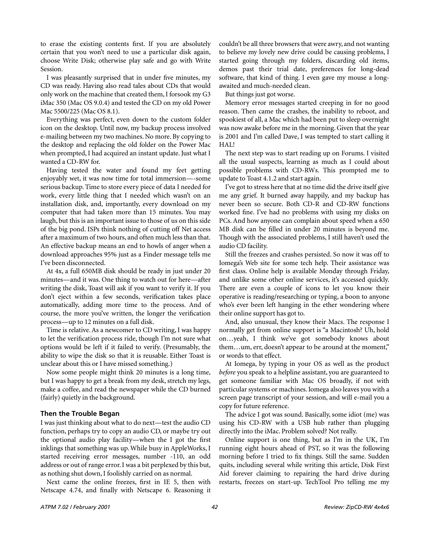to erase the existing contents first. If you are absolutely certain that you won't need to use a particular disk again, choose Write Disk; otherwise play safe and go with Write Session.

I was pleasantly surprised that in under five minutes, my CD was ready. Having also read tales about CDs that would only work on the machine that created them, I forsook my G3 iMac 350 (Mac OS 9.0.4) and tested the CD on my old Power Mac 5500/225 (Mac OS 8.1).

Everything was perfect, even down to the custom folder icon on the desktop. Until now, my backup process involved e-mailing between my two machines. No more. By copying to the desktop and replacing the old folder on the Power Mac when prompted, I had acquired an instant update. Just what I wanted a CD-RW for.

Having tested the water and found my feet getting enjoyably wet, it was now time for total immersion—-some serious backup. Time to store every piece of data I needed for work, every little thing that I needed which wasn't on an installation disk, and, importantly, every download on my computer that had taken more than 15 minutes. You may laugh, but this is an important issue to those of us on this side of the big pond. ISPs think nothing of cutting off Net access after a maximum of two hours, and often much less than that. An effective backup means an end to howls of anger when a download approaches 95% just as a Finder message tells me I've been disconnected.

At 4x, a full 650MB disk should be ready in just under 20 minutes—and it was. One thing to watch out for here—after writing the disk, Toast will ask if you want to verify it. If you don't eject within a few seconds, verification takes place automatically, adding more time to the process. And of course, the more you've written, the longer the verification process—up to 12 minutes on a full disk.

Time is relative. As a newcomer to CD writing, I was happy to let the verification process ride, though I'm not sure what options would be left if it failed to verify. (Presumably, the ability to wipe the disk so that it is reusable. Either Toast is unclear about this or I have missed something.)

Now some people might think 20 minutes is a long time, but I was happy to get a break from my desk, stretch my legs, make a coffee, and read the newspaper while the CD burned (fairly) quietly in the background.

# **Then the Trouble Began**

I was just thinking about what to do next—test the audio CD function, perhaps try to copy an audio CD, or maybe try out the optional audio play facility—when the I got the first inklings that something was up. While busy in AppleWorks, I started receiving error messages, number -110, an odd address or out of range error. I was a bit perplexed by this but, as nothing shut down, I foolishly carried on as normal.

Next came the online freezes, first in IE 5, then with Netscape 4.74, and finally with Netscape 6. Reasoning it couldn't be all three browsers that were awry, and not wanting to believe my lovely new drive could be causing problems, I started going through my folders, discarding old items, demos past their trial date, preferences for long-dead software, that kind of thing. I even gave my mouse a longawaited and much-needed clean.

But things just got worse.

Memory error messages started creeping in for no good reason. Then came the crashes, the inability to reboot, and spookiest of all, a Mac which had been put to sleep overnight was now awake before me in the morning. Given that the year is 2001 and I'm called Dave, I was tempted to start calling it HAL!

The next step was to start reading up on Forums. I visited all the usual suspects, learning as much as I could about possible problems with CD-RWs. This prompted me to update to Toast 4.1.2 and start again.

I've got to stress here that at no time did the drive itself give me any grief. It burned away happily, and my backup has never been so secure. Both CD-R and CD-RW functions worked fine. I've had no problems with using my disks on PCs. And how anyone can complain about speed when a 650 MB disk can be filled in under 20 minutes is beyond me. Though with the associated problems, I still haven't used the audio CD facility.

Still the freezes and crashes persisted. So now it was off to Iomega's Web site for some tech help. Their assistance was first class. Online help is available Monday through Friday, and unlike some other online services, it's accessed quickly. There are even a couple of icons to let you know their operative is reading/researching or typing, a boon to anyone who's ever been left hanging in the ether wondering where their online support has got to.

And, also unusual, they know their Macs. The response I normally get from online support is "a Macintosh? Uh, hold on…yeah, I think we've got somebody knows about them…um, err, doesn't appear to be around at the moment," or words to that effect.

At Iomega, by typing in your OS as well as the product *before* you speak to a helpline assistant, you are guaranteed to get someone familiar with Mac OS broadly, if not with particular systems or machines. Iomega also leaves you with a screen page transcript of your session, and will e-mail you a copy for future reference.

The advice I got was sound. Basically, some idiot (me) was using his CD-RW with a USB hub rather than plugging directly into the iMac. Problem solved? Not really.

Online support is one thing, but as I'm in the UK, I'm running eight hours ahead of PST, so it was the following morning before I tried to fix things. Still the same. Sudden quits, including several while writing this article, Disk First Aid forever claiming to repairing the hard drive during restarts, freezes on start-up. TechTool Pro telling me my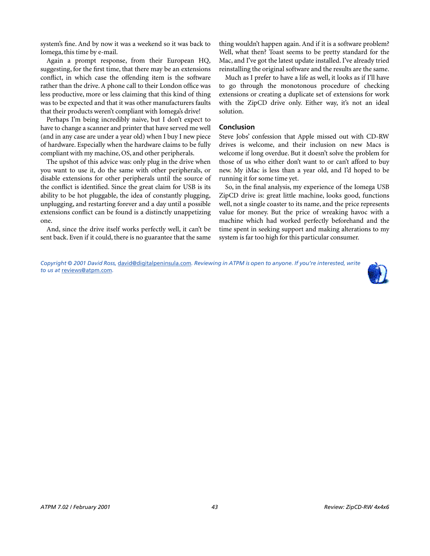system's fine. And by now it was a weekend so it was back to Iomega, this time by e-mail.

Again a prompt response, from their European HQ, suggesting, for the first time, that there may be an extensions conflict, in which case the offending item is the software rather than the drive. A phone call to their London office was less productive, more or less claiming that this kind of thing was to be expected and that it was other manufacturers faults that their products weren't compliant with Iomega's drive!

Perhaps I'm being incredibly naive, but I don't expect to have to change a scanner and printer that have served me well (and in any case are under a year old) when I buy I new piece of hardware. Especially when the hardware claims to be fully compliant with my machine, OS, and other peripherals.

The upshot of this advice was: only plug in the drive when you want to use it, do the same with other peripherals, or disable extensions for other peripherals until the source of the conflict is identified. Since the great claim for USB is its ability to be hot pluggable, the idea of constantly plugging, unplugging, and restarting forever and a day until a possible extensions conflict can be found is a distinctly unappetizing one.

And, since the drive itself works perfectly well, it can't be sent back. Even if it could, there is no guarantee that the same thing wouldn't happen again. And if it is a software problem? Well, what then? Toast seems to be pretty standard for the Mac, and I've got the latest update installed. I've already tried reinstalling the original software and the results are the same.

Much as I prefer to have a life as well, it looks as if I'll have to go through the monotonous procedure of checking extensions or creating a duplicate set of extensions for work with the ZipCD drive only. Either way, it's not an ideal solution.

#### **Conclusion**

Steve Jobs' confession that Apple missed out with CD-RW drives is welcome, and their inclusion on new Macs is welcome if long overdue. But it doesn't solve the problem for those of us who either don't want to or can't afford to buy new. My iMac is less than a year old, and I'd hoped to be running it for some time yet.

So, in the final analysis, my experience of the Iomega USB ZipCD drive is: great little machine, looks good, functions well, not a single coaster to its name, and the price represents value for money. But the price of wreaking havoc with a machine which had worked perfectly beforehand and the time spent in seeking support and making alterations to my system is far too high for this particular consumer.

*Copyright © 2001 David Ross,* [david@digitalpeninsula.com](mailto:david@digitalpeninsula.com)*. Reviewing in ATPM is open to anyone. If you're interested, write to us at* [reviews@atpm.com](mailto:reviews@atpm.com)*.*

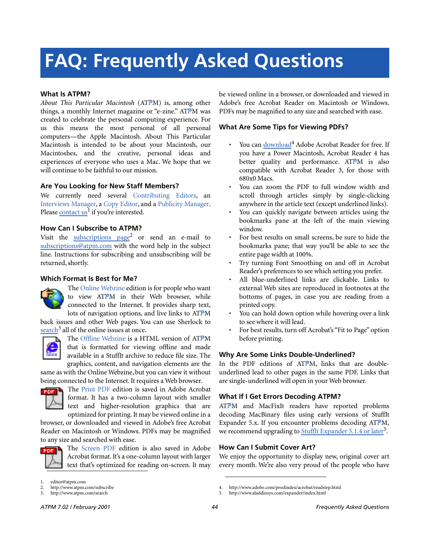# **FAQ: Frequently Asked Questions**

#### **What Is ATPM?**

*About This Particular Macintosh* (ATPM) is, among other things, a monthly Internet magazine or "e-zine." ATPM was created to celebrate the personal computing experience. For us this means the most personal of all personal computers—the Apple Macintosh. About This Particular Macintosh is intended to be about your Macintosh, our Macintoshes, and the creative, personal ideas and experiences of everyone who uses a Mac. We hope that we will continue to be faithful to our mission.

#### **Are You Looking for New Staff Members?**

We currently need several Contributing Editors, an Interviews Manager, a Copy Editor, and a Publicity Manager. Please [contact us](mailto:editor@atpm.com)<sup>1</sup> if you're interested.

#### **How Can I Subscribe to ATPM?**

Visit the [subscriptions page](http://www.atpm.com/subscribe)<sup>2</sup> or send an e-mail to [subscriptions@atpm.com](mailto:subscriptions@atpm.com) with the word help in the subject line. Instructions for subscribing and unsubscribing will be returned, shortly.

#### **Which Format Is Best for Me?**



The Online Webzine edition is for people who want to view ATPM in their Web browser, while connected to the Internet. It provides sharp text, lots of navigation options, and live links to ATPM

back issues and other Web pages. You can use Sherlock to  $\frac{\text{search}^3}{\text{all}}$  $\frac{\text{search}^3}{\text{all}}$  $\frac{\text{search}^3}{\text{all}}$  all of the online issues at once.



The Offline Webzine is a HTML version of ATPM that is formatted for viewing offline and made available in a StuffIt archive to reduce file size. The graphics, content, and navigation elements are the

same as with the Online Webzine, but you can view it without being connected to the Internet. It requires a Web browser.



The Print PDF edition is saved in Adobe Acrobat format. It has a two-column layout with smaller text and higher-resolution graphics that are optimized for printing. It may be viewed online in a

browser, or downloaded and viewed in Adobe's free Acrobat Reader on Macintosh or Windows. PDFs may be magnified to any size and searched with ease.



The Screen PDF edition is also saved in Adobe Acrobat format. It's a one-column layout with larger text that's optimized for reading on-screen. It may be viewed online in a browser, or downloaded and viewed in Adobe's free Acrobat Reader on Macintosh or Windows. PDFs may be magnified to any size and searched with ease.

#### **What Are Some Tips for Viewing PDFs?**

- You can [download](http://www.adobe.com/prodindex/acrobat/readstep.html)<sup>4</sup> Adobe Acrobat Reader for free. If you have a Power Macintosh, Acrobat Reader 4 has better quality and performance. ATPM is also compatible with Acrobat Reader 3, for those with 680x0 Macs.
- You can zoom the PDF to full window width and scroll through articles simply by single-clicking anywhere in the article text (except underlined links).
- You can quickly navigate between articles using the bookmarks pane at the left of the main viewing window.
- For best results on small screens, be sure to hide the bookmarks pane; that way you'll be able to see the entire page width at 100%.
- Try turning Font Smoothing on and off in Acrobat Reader's preferences to see which setting you prefer.
- All blue-underlined links are clickable. Links to external Web sites are reproduced in footnotes at the bottoms of pages, in case you are reading from a printed copy.
- You can hold down option while hovering over a link to see where it will lead.
- For best results, turn off Acrobat's "Fit to Page" option before printing.

#### **Why Are Some Links Double-Underlined?**

In the PDF editions of ATPM, links that are doubleunderlined lead to other pages in the same PDF. Links that are single-underlined will open in your Web browser.

#### **What If I Get Errors Decoding ATPM?**

ATPM and MacFixIt readers have reported problems decoding MacBinary files using early versions of StuffIt Expander 5.x. If you encounter problems decoding ATPM, we recommend upgrading to **StuffIt Expander 5.1.4** or later<sup>5</sup>.

#### **How Can I Submit Cover Art?**

We enjoy the opportunity to display new, original cover art every month. We're also very proud of the people who have

editor@atpm.com

<sup>2.</sup> http://www.atpm.com/subscribe<br>3. http://www.atpm.com/search

http://www.atpm.com/search

<sup>4.</sup> http://www.adobe.com/prodindex/acrobat/readstep.html

<sup>5.</sup> http://www.aladdinsys.com/expander/index.html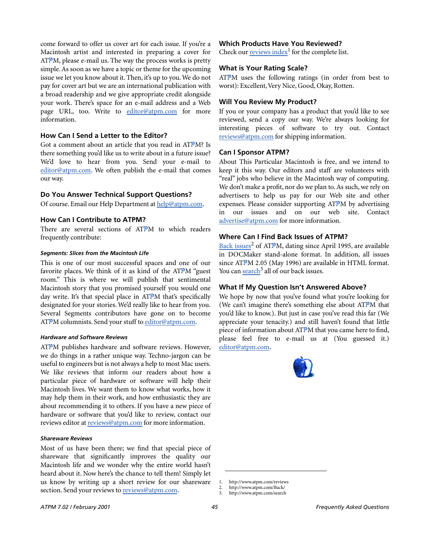come forward to offer us cover art for each issue. If you're a Macintosh artist and interested in preparing a cover for  $ATPM$ , please e-mail us. The way the process works is pretty simple. As soon as we have a topic or theme for the upcoming issue we let you know about it. Then, it's up to you. We do not pay for cover art but we are an international publication with a broad readership and we give appropriate credit alongside your work. There's space for an e-mail address and a Web page URL, too. Write to [editor@atpm.com](mailto:editor@atpm.com) for more information.

### **How Can I Send a Letter to the Editor?**

Got a comment about an article that you read in ATPM? Is there something you'd like us to write about in a future issue? We'd love to hear from you. Send your e-mail to [editor@atpm.com](mailto:editor@atpm.com). We often publish the e-mail that comes our way.

#### **Do You Answer Technical Support Questions?**

Of course. Email our Help Department at [help@atpm.com.](mailto:help@atpm.com)

### **How Can I Contribute to ATPM?**

There are several sections of ATPM to which readers frequently contribute:

#### *Segments: Slices from the Macintosh Life*

This is one of our most successful spaces and one of our favorite places. We think of it as kind of the ATPM "guest room." This is where we will publish that sentimental Macintosh story that you promised yourself you would one day write. It's that special place in ATPM that's specifically designated for your stories. We'd really like to hear from you. Several Segments contributors have gone on to become ATPM columnists. Send your stuff to [editor@atpm.com](mailto:editor@atpm.com).

#### *Hardware and Software Reviews*

ATPM publishes hardware and software reviews. However, we do things in a rather unique way. Techno-jargon can be useful to engineers but is not always a help to most Mac users. We like reviews that inform our readers about how a particular piece of hardware or software will help their Macintosh lives. We want them to know what works, how it may help them in their work, and how enthusiastic they are about recommending it to others. If you have a new piece of hardware or software that you'd like to review, contact our reviews editor at [reviews@atpm.com](mailto:reviews@atpm.com) for more information.

#### *Shareware Reviews*

Most of us have been there; we find that special piece of shareware that significantly improves the quality our Macintosh life and we wonder why the entire world hasn't heard about it. Now here's the chance to tell them! Simply let us know by writing up a short review for our shareware section. Send your reviews to [reviews@atpm.com.](mailto:reviews@atpm.com)

### **Which Products Have You Reviewed?**

Check our **reviews** index<sup>1</sup> for the complete list.

#### **What is Your Rating Scale?**

ATPM uses the following ratings (in order from best to worst): Excellent, Very Nice, Good, Okay, Rotten.

#### **Will You Review My Product?**

If you or your company has a product that you'd like to see reviewed, send a copy our way. We're always looking for interesting pieces of software to try out. Contact [reviews@atpm.com](mailto:reviews@atpm.com) for shipping information.

#### **Can I Sponsor ATPM?**

About This Particular Macintosh is free, and we intend to keep it this way. Our editors and staff are volunteers with "real" jobs who believe in the Macintosh way of computing. We don't make a profit, nor do we plan to. As such, we rely on advertisers to help us pay for our Web site and other expenses. Please consider supporting ATPM by advertising in our issues and on our web site. Contact <advertise@atpm.com>for more information.

### **Where Can I Find Back Issues of ATPM?**

[Back issues](http://www.atpm.com/Back/)<sup>2</sup> of ATPM, dating since April 1995, are available in DOCMaker stand-alone format. In addition, all issues since ATPM 2.05 (May 1996) are available in HTML format. You can [search](http://www.atpm.com/search)<sup>3</sup> all of our back issues.

#### **What If My Question Isn't Answered Above?**

We hope by now that you've found what you're looking for (We can't imagine there's something else about ATPM that you'd like to know.). But just in case you've read this far (We appreciate your tenacity.) and still haven't found that little piece of information about ATPM that you came here to find, please feel free to e-mail us at (You guessed it.) [editor@atpm.com.](mailto:editor@atpm.com)



<sup>1.</sup> http://www.atpm.com/reviews

<sup>2.</sup> http://www.atpm.com/Back/

<sup>3.</sup> http://www.atpm.com/search